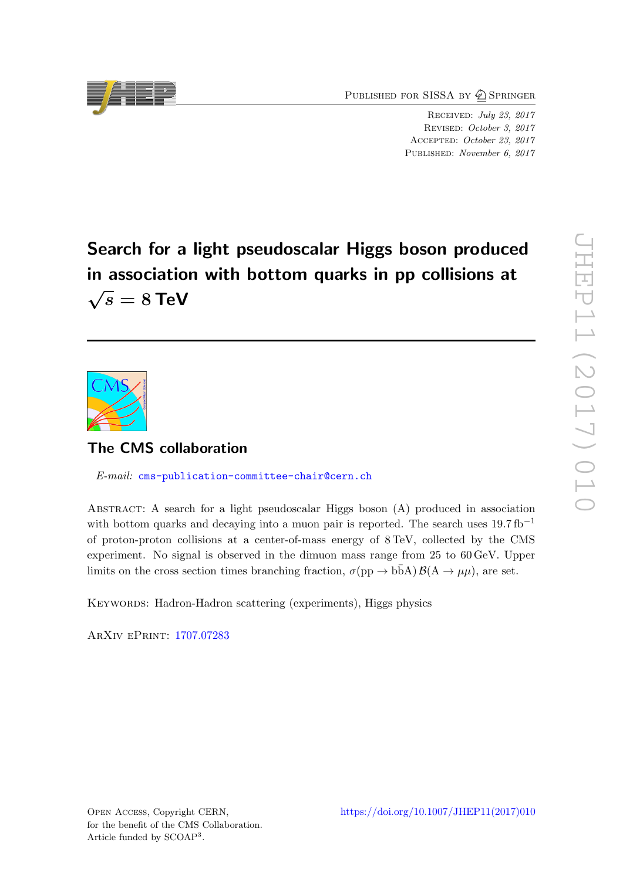PUBLISHED FOR SISSA BY 2 SPRINGER

Received: July 23, 2017 Revised: October 3, 2017 Accepted: October 23, 2017 PUBLISHED: November 6, 2017

# Search for a light pseudoscalar Higgs boson produced in association with bottom quarks in pp collisions at  $\sqrt{s} = 8$  TeV



# The CMS collaboration

E-mail: [cms-publication-committee-chair@cern.ch](mailto:cms-publication-committee-chair@cern.ch)

Abstract: A search for a light pseudoscalar Higgs boson (A) produced in association with bottom quarks and decaying into a muon pair is reported. The search uses  $19.7 \text{ fb}^{-1}$ of proton-proton collisions at a center-of-mass energy of 8 TeV, collected by the CMS experiment. No signal is observed in the dimuon mass range from 25 to 60 GeV. Upper limits on the cross section times branching fraction,  $\sigma(pp \to b\bar{b}A) \mathcal{B}(A \to \mu\mu)$ , are set.

KEYWORDS: Hadron-Hadron scattering (experiments), Higgs physics

ArXiv ePrint: [1707.07283](https://arxiv.org/abs/1707.07283)

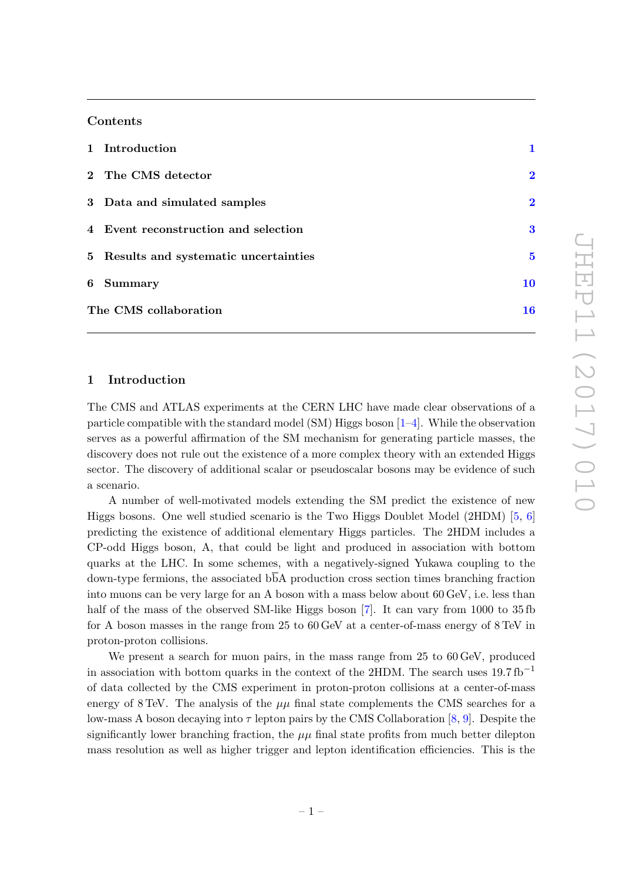# Contents

| 1 Introduction                         |              |
|----------------------------------------|--------------|
| 2 The CMS detector                     | $\bf{2}$     |
| 3 Data and simulated samples           | $\mathbf 2$  |
| 4 Event reconstruction and selection   | $\bf{3}$     |
| 5 Results and systematic uncertainties | $\mathbf{5}$ |
| 6 Summary                              | 10           |
| The CMS collaboration                  | 16           |

### <span id="page-1-0"></span>1 Introduction

The CMS and ATLAS experiments at the CERN LHC have made clear observations of a particle compatible with the standard model  $(SM)$  Higgs boson  $[1-4]$  $[1-4]$ . While the observation serves as a powerful affirmation of the SM mechanism for generating particle masses, the discovery does not rule out the existence of a more complex theory with an extended Higgs sector. The discovery of additional scalar or pseudoscalar bosons may be evidence of such a scenario.

A number of well-motivated models extending the SM predict the existence of new Higgs bosons. One well studied scenario is the Two Higgs Doublet Model (2HDM) [\[5,](#page-12-1) [6\]](#page-12-2) predicting the existence of additional elementary Higgs particles. The 2HDM includes a CP-odd Higgs boson, A, that could be light and produced in association with bottom quarks at the LHC. In some schemes, with a negatively-signed Yukawa coupling to the down-type fermions, the associated  $\overline{b}A$  production cross section times branching fraction into muons can be very large for an A boson with a mass below about 60 GeV, i.e. less than half of the mass of the observed SM-like Higgs boson [\[7\]](#page-12-3). It can vary from 1000 to 35 fb for A boson masses in the range from 25 to 60 GeV at a center-of-mass energy of 8 TeV in proton-proton collisions.

We present a search for muon pairs, in the mass range from 25 to 60 GeV, produced in association with bottom quarks in the context of the 2HDM. The search uses  $19.7 \text{ fb}^{-1}$ of data collected by the CMS experiment in proton-proton collisions at a center-of-mass energy of 8 TeV. The analysis of the  $\mu\mu$  final state complements the CMS searches for a low-mass A boson decaying into  $\tau$  lepton pairs by the CMS Collaboration [\[8,](#page-12-4) [9\]](#page-12-5). Despite the significantly lower branching fraction, the  $\mu\mu$  final state profits from much better dilepton mass resolution as well as higher trigger and lepton identification efficiencies. This is the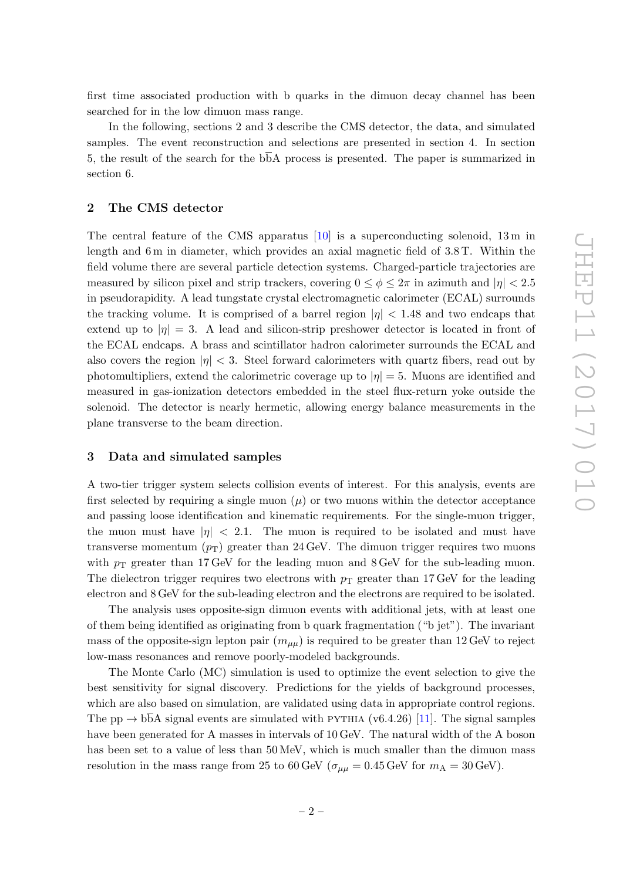first time associated production with b quarks in the dimuon decay channel has been searched for in the low dimuon mass range.

In the following, sections 2 and 3 describe the CMS detector, the data, and simulated samples. The event reconstruction and selections are presented in section 4. In section 5, the result of the search for the  $\overline{b}A$  process is presented. The paper is summarized in section 6.

### <span id="page-2-0"></span>2 The CMS detector

The central feature of the CMS apparatus [\[10\]](#page-12-6) is a superconducting solenoid, 13 m in length and 6 m in diameter, which provides an axial magnetic field of 3.8 T. Within the field volume there are several particle detection systems. Charged-particle trajectories are measured by silicon pixel and strip trackers, covering  $0 \le \phi \le 2\pi$  in azimuth and  $|\eta| < 2.5$ in pseudorapidity. A lead tungstate crystal electromagnetic calorimeter (ECAL) surrounds the tracking volume. It is comprised of a barrel region  $|\eta|$  < 1.48 and two endcaps that extend up to  $|\eta| = 3$ . A lead and silicon-strip preshower detector is located in front of the ECAL endcaps. A brass and scintillator hadron calorimeter surrounds the ECAL and also covers the region  $|\eta| < 3$ . Steel forward calorimeters with quartz fibers, read out by photomultipliers, extend the calorimetric coverage up to  $|\eta| = 5$ . Muons are identified and measured in gas-ionization detectors embedded in the steel flux-return yoke outside the solenoid. The detector is nearly hermetic, allowing energy balance measurements in the plane transverse to the beam direction.

#### <span id="page-2-1"></span>3 Data and simulated samples

A two-tier trigger system selects collision events of interest. For this analysis, events are first selected by requiring a single muon  $(\mu)$  or two muons within the detector acceptance and passing loose identification and kinematic requirements. For the single-muon trigger, the muon must have  $|\eta| < 2.1$ . The muon is required to be isolated and must have transverse momentum  $(p_T)$  greater than 24 GeV. The dimuon trigger requires two muons with  $p_T$  greater than 17 GeV for the leading muon and 8 GeV for the sub-leading muon. The dielectron trigger requires two electrons with  $p<sub>T</sub>$  greater than 17 GeV for the leading electron and 8 GeV for the sub-leading electron and the electrons are required to be isolated.

The analysis uses opposite-sign dimuon events with additional jets, with at least one of them being identified as originating from b quark fragmentation ("b jet"). The invariant mass of the opposite-sign lepton pair  $(m_{\mu\mu})$  is required to be greater than 12 GeV to reject low-mass resonances and remove poorly-modeled backgrounds.

The Monte Carlo (MC) simulation is used to optimize the event selection to give the best sensitivity for signal discovery. Predictions for the yields of background processes, which are also based on simulation, are validated using data in appropriate control regions. The pp  $\rightarrow$  bbA signal events are simulated with PYTHIA (v6.4.26) [\[11\]](#page-12-7). The signal samples have been generated for A masses in intervals of 10 GeV. The natural width of the A boson has been set to a value of less than 50 MeV, which is much smaller than the dimuon mass resolution in the mass range from 25 to 60 GeV ( $\sigma_{\mu\mu} = 0.45$  GeV for  $m_A = 30$  GeV).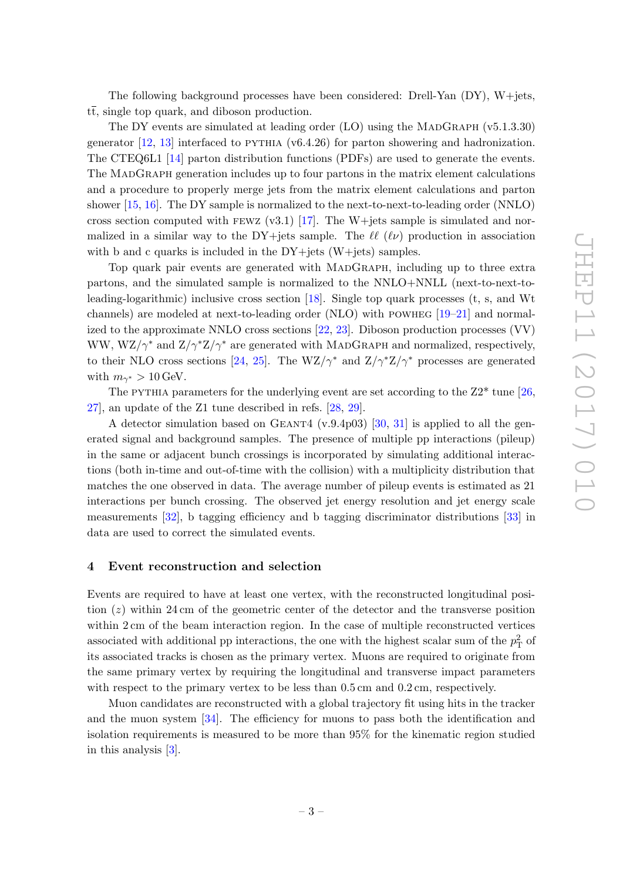The following background processes have been considered: Drell-Yan (DY), W+jets,  $t\bar{t}$ , single top quark, and diboson production.

The DY events are simulated at leading order  $(LO)$  using the MADGRAPH  $(v5.1.3.30)$ generator  $[12, 13]$  $[12, 13]$  $[12, 13]$  interfaced to PYTHIA (v6.4.26) for parton showering and hadronization. The CTEQ6L1 [\[14\]](#page-12-10) parton distribution functions (PDFs) are used to generate the events. The MadGraph generation includes up to four partons in the matrix element calculations and a procedure to properly merge jets from the matrix element calculations and parton shower [\[15,](#page-12-11) [16\]](#page-12-12). The DY sample is normalized to the next-to-next-to-leading order (NNLO) cross section computed with  $Fewz$  (v3.1) [\[17\]](#page-12-13). The W+jets sample is simulated and normalized in a similar way to the DY+jets sample. The  $\ell\ell$  ( $\ell\nu$ ) production in association with b and c quarks is included in the  $DY+jets$  (W+jets) samples.

Top quark pair events are generated with MADGRAPH, including up to three extra partons, and the simulated sample is normalized to the NNLO+NNLL (next-to-next-toleading-logarithmic) inclusive cross section [\[18\]](#page-12-14). Single top quark processes (t, s, and Wt channels) are modeled at next-to-leading order (NLO) with powheg [\[19–](#page-12-15)[21\]](#page-13-0) and normalized to the approximate NNLO cross sections [\[22,](#page-13-1) [23\]](#page-13-2). Diboson production processes (VV) WW, WZ/ $\gamma^*$  and  $Z/\gamma^*Z/\gamma^*$  are generated with MADGRAPH and normalized, respectively, to their NLO cross sections [\[24,](#page-13-3) [25\]](#page-13-4). The WZ/ $\gamma^*$  and  $Z/\gamma^*Z/\gamma^*$  processes are generated with  $m_{\gamma^*} > 10$  GeV.

The PYTHIA parameters for the underlying event are set according to the  $Z2^*$  tune [\[26,](#page-13-5) [27\]](#page-13-6), an update of the Z1 tune described in refs. [\[28,](#page-13-7) [29\]](#page-13-8).

A detector simulation based on GEANT4 (v.9.4p03) [\[30,](#page-13-9) [31\]](#page-13-10) is applied to all the generated signal and background samples. The presence of multiple pp interactions (pileup) in the same or adjacent bunch crossings is incorporated by simulating additional interactions (both in-time and out-of-time with the collision) with a multiplicity distribution that matches the one observed in data. The average number of pileup events is estimated as 21 interactions per bunch crossing. The observed jet energy resolution and jet energy scale measurements [\[32\]](#page-13-11), b tagging efficiency and b tagging discriminator distributions [\[33\]](#page-13-12) in data are used to correct the simulated events.

### <span id="page-3-0"></span>4 Event reconstruction and selection

Events are required to have at least one vertex, with the reconstructed longitudinal position  $(z)$  within 24 cm of the geometric center of the detector and the transverse position within 2 cm of the beam interaction region. In the case of multiple reconstructed vertices associated with additional pp interactions, the one with the highest scalar sum of the  $p_T^2$  of its associated tracks is chosen as the primary vertex. Muons are required to originate from the same primary vertex by requiring the longitudinal and transverse impact parameters with respect to the primary vertex to be less than  $0.5 \text{ cm}$  and  $0.2 \text{ cm}$ , respectively.

Muon candidates are reconstructed with a global trajectory fit using hits in the tracker and the muon system [\[34\]](#page-13-13). The efficiency for muons to pass both the identification and isolation requirements is measured to be more than 95% for the kinematic region studied in this analysis [\[3\]](#page-11-1).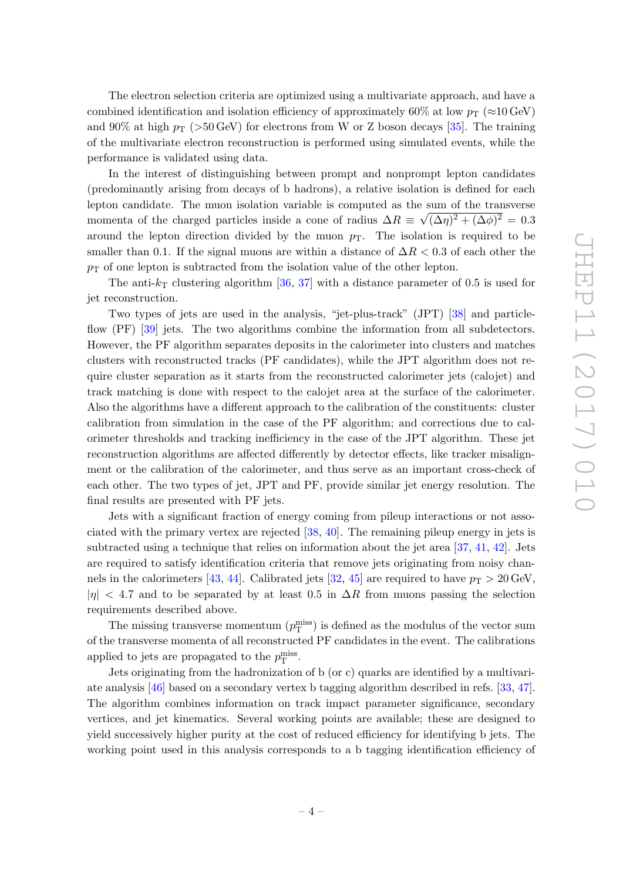The electron selection criteria are optimized using a multivariate approach, and have a combined identification and isolation efficiency of approximately 60% at low  $p_T (\approx 10 \,\text{GeV})$ and 90% at high  $p_{\rm T}$  (>50 GeV) for electrons from W or Z boson decays [\[35\]](#page-13-14). The training of the multivariate electron reconstruction is performed using simulated events, while the performance is validated using data.

In the interest of distinguishing between prompt and nonprompt lepton candidates (predominantly arising from decays of b hadrons), a relative isolation is defined for each lepton candidate. The muon isolation variable is computed as the sum of the transverse momenta of the charged particles inside a cone of radius  $\Delta R \equiv \sqrt{(\Delta \eta)^2 + (\Delta \phi)^2} = 0.3$ around the lepton direction divided by the muon  $p<sub>T</sub>$ . The isolation is required to be smaller than 0.1. If the signal muons are within a distance of  $\Delta R < 0.3$  of each other the  $p<sub>T</sub>$  of one lepton is subtracted from the isolation value of the other lepton.

The anti- $k_T$  clustering algorithm [\[36,](#page-13-15) [37\]](#page-13-16) with a distance parameter of 0.5 is used for jet reconstruction.

Two types of jets are used in the analysis, "jet-plus-track" (JPT) [\[38\]](#page-13-17) and particle-flow (PF) [\[39\]](#page-13-18) jets. The two algorithms combine the information from all subdetectors. However, the PF algorithm separates deposits in the calorimeter into clusters and matches clusters with reconstructed tracks (PF candidates), while the JPT algorithm does not require cluster separation as it starts from the reconstructed calorimeter jets (calojet) and track matching is done with respect to the calojet area at the surface of the calorimeter. Also the algorithms have a different approach to the calibration of the constituents: cluster calibration from simulation in the case of the PF algorithm; and corrections due to calorimeter thresholds and tracking inefficiency in the case of the JPT algorithm. These jet reconstruction algorithms are affected differently by detector effects, like tracker misalignment or the calibration of the calorimeter, and thus serve as an important cross-check of each other. The two types of jet, JPT and PF, provide similar jet energy resolution. The final results are presented with PF jets.

Jets with a significant fraction of energy coming from pileup interactions or not associated with the primary vertex are rejected [\[38,](#page-13-17) [40\]](#page-14-0). The remaining pileup energy in jets is subtracted using a technique that relies on information about the jet area [\[37,](#page-13-16) [41,](#page-14-1) [42\]](#page-14-2). Jets are required to satisfy identification criteria that remove jets originating from noisy chan-nels in the calorimeters [\[43,](#page-14-3) [44\]](#page-14-4). Calibrated jets [\[32,](#page-13-11) [45\]](#page-14-5) are required to have  $p_T > 20$  GeV,  $|\eta| < 4.7$  and to be separated by at least 0.5 in  $\Delta R$  from muons passing the selection requirements described above.

The missing transverse momentum  $(p_T^{\text{miss}})$  is defined as the modulus of the vector sum of the transverse momenta of all reconstructed PF candidates in the event. The calibrations applied to jets are propagated to the  $p_T^{\text{miss}}$ .

Jets originating from the hadronization of b (or c) quarks are identified by a multivariate analysis [\[46\]](#page-14-6) based on a secondary vertex b tagging algorithm described in refs. [\[33,](#page-13-12) [47\]](#page-14-7). The algorithm combines information on track impact parameter significance, secondary vertices, and jet kinematics. Several working points are available; these are designed to yield successively higher purity at the cost of reduced efficiency for identifying b jets. The working point used in this analysis corresponds to a b tagging identification efficiency of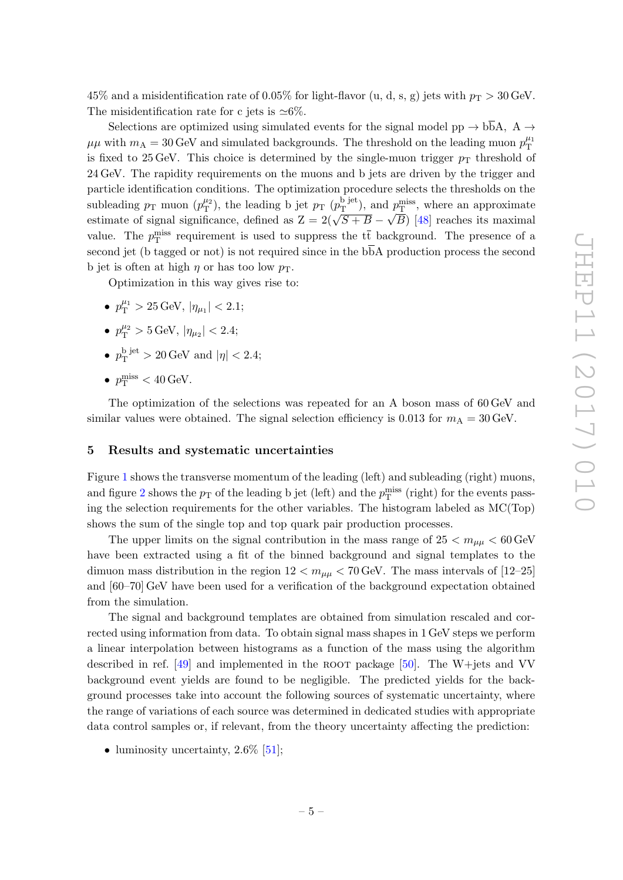45% and a misidentification rate of 0.05% for light-flavor (u, d, s, g) jets with  $p_T > 30$  GeV. The misidentification rate for c jets is  $\simeq 6\%$ .

Selections are optimized using simulated events for the signal model pp  $\rightarrow$  bb<sub>A</sub>, A  $\rightarrow$  $\mu\mu$  with  $m_A = 30 \,\text{GeV}$  and simulated backgrounds. The threshold on the leading muon  $p_T^{\mu_1}$ T is fixed to 25 GeV. This choice is determined by the single-muon trigger  $p_T$  threshold of 24 GeV. The rapidity requirements on the muons and b jets are driven by the trigger and particle identification conditions. The optimization procedure selects the thresholds on the subleading  $p_T$  muon  $(p_T^{\mu_2})$  $p_T^{(\mu_2)}$ , the leading b jet  $p_T$  ( $p_T^{\text{b jet}}$  $T_{\overline{T}}^{\text{b jet}}$ , and  $p_{\overline{T}}^{\text{miss}}$ , where an approximate estimate of signal significance, defined as  $Z = 2(\sqrt{S+B} - \sqrt{B})$  [\[48\]](#page-14-8) reaches its maximal significance, defined as  $Z = 2(\sqrt{S+B} - \sqrt{B})$  [48] reaches its maximal value. The  $p_T^{\text{miss}}$  requirement is used to suppress the  $t\bar{t}$  background. The presence of a second jet (b tagged or not) is not required since in the  $b\overline{b}A$  production process the second b jet is often at high  $\eta$  or has too low  $p_T$ .

Optimization in this way gives rise to:

- $p_{\rm T}^{\mu_1} > 25 \,\text{GeV}, |\eta_{\mu_1}| < 2.1;$
- $p_{\rm T}^{\mu_2} > 5 \,\text{GeV}, |\eta_{\mu_2}| < 2.4;$
- $p_{\rm T}^{\rm b~jet} > 20 \,\text{GeV}$  and  $|\eta| < 2.4$ ;
- $p_{\rm T}^{\rm miss}$  < 40 GeV.

The optimization of the selections was repeated for an A boson mass of 60 GeV and similar values were obtained. The signal selection efficiency is 0.013 for  $m_A = 30$  GeV.

### <span id="page-5-0"></span>5 Results and systematic uncertainties

Figure [1](#page-6-0) shows the transverse momentum of the leading (left) and subleading (right) muons, and figure [2](#page-6-1) shows the  $p_T$  of the leading b jet (left) and the  $p_T^{\text{miss}}$  (right) for the events passing the selection requirements for the other variables. The histogram labeled as MC(Top) shows the sum of the single top and top quark pair production processes.

The upper limits on the signal contribution in the mass range of  $25 < m_{\mu\mu} < 60$  GeV have been extracted using a fit of the binned background and signal templates to the dimuon mass distribution in the region  $12 < m_{\mu\mu} < 70$  GeV. The mass intervals of [12–25] and [60–70] GeV have been used for a verification of the background expectation obtained from the simulation.

The signal and background templates are obtained from simulation rescaled and corrected using information from data. To obtain signal mass shapes in 1 GeV steps we perform a linear interpolation between histograms as a function of the mass using the algorithm described in ref.  $[49]$  and implemented in the ROOT package  $[50]$ . The W+jets and VV background event yields are found to be negligible. The predicted yields for the background processes take into account the following sources of systematic uncertainty, where the range of variations of each source was determined in dedicated studies with appropriate data control samples or, if relevant, from the theory uncertainty affecting the prediction:

• luminosity uncertainty,  $2.6\%$  [\[51\]](#page-14-11);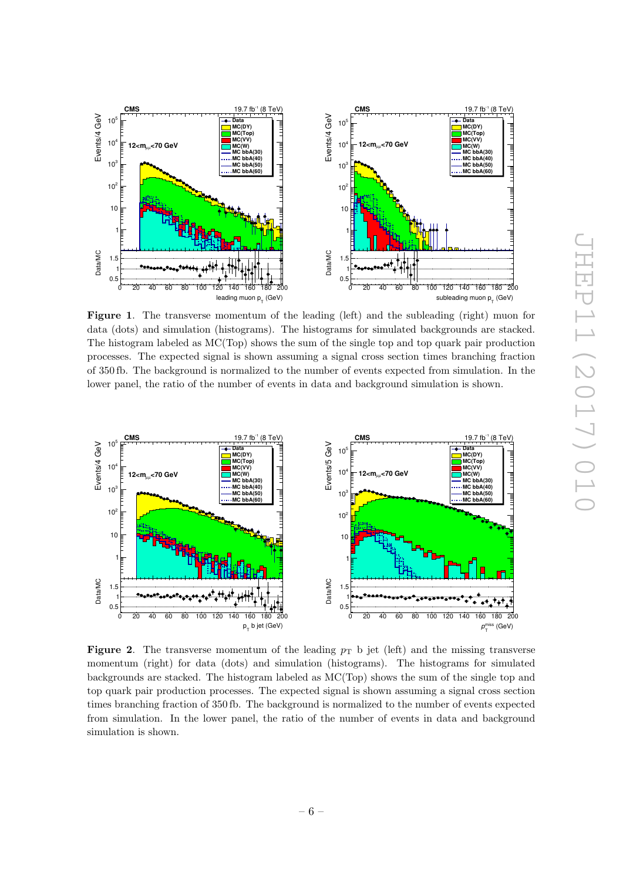

<span id="page-6-0"></span>Figure 1. The transverse momentum of the leading (left) and the subleading (right) muon for data (dots) and simulation (histograms). The histograms for simulated backgrounds are stacked. The histogram labeled as MC(Top) shows the sum of the single top and top quark pair production processes. The expected signal is shown assuming a signal cross section times branching fraction of 350 fb. The background is normalized to the number of events expected from simulation. In the lower panel, the ratio of the number of events in data and background simulation is shown.



<span id="page-6-1"></span>**Figure 2.** The transverse momentum of the leading  $p<sub>T</sub>$  b jet (left) and the missing transverse momentum (right) for data (dots) and simulation (histograms). The histograms for simulated backgrounds are stacked. The histogram labeled as MC(Top) shows the sum of the single top and top quark pair production processes. The expected signal is shown assuming a signal cross section times branching fraction of 350 fb. The background is normalized to the number of events expected from simulation. In the lower panel, the ratio of the number of events in data and background simulation is shown.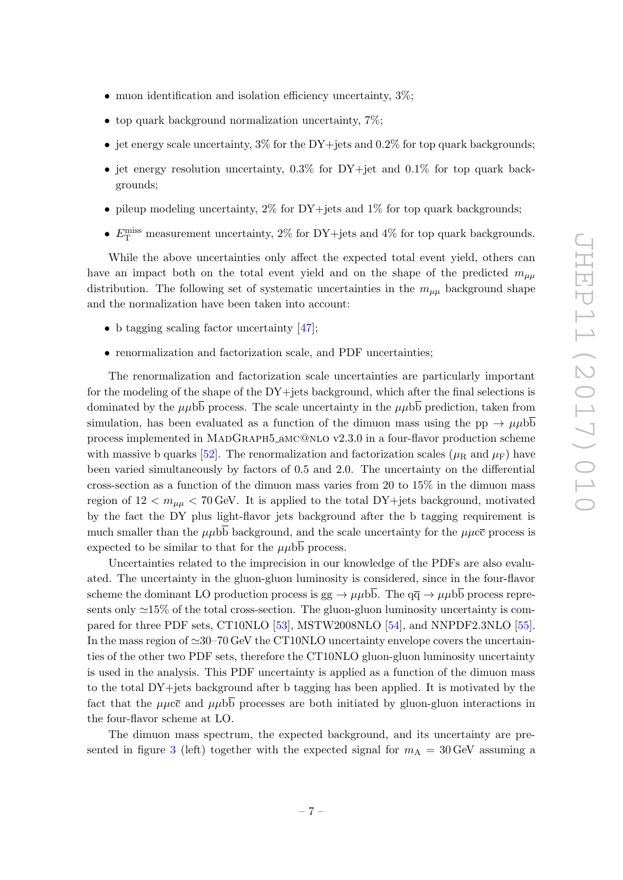- muon identification and isolation efficiency uncertainty,  $3\%$ ;
- top quark background normalization uncertainty,  $7\%$ ;
- jet energy scale uncertainty,  $3\%$  for the DY+jets and 0.2% for top quark backgrounds;
- jet energy resolution uncertainty,  $0.3\%$  for DY+jet and  $0.1\%$  for top quark backgrounds;
- pileup modeling uncertainty,  $2\%$  for DY+jets and  $1\%$  for top quark backgrounds;
- $E_{\rm T}^{\rm miss}$  measurement uncertainty, 2% for DY+jets and 4% for top quark backgrounds.

While the above uncertainties only affect the expected total event yield, others can have an impact both on the total event yield and on the shape of the predicted  $m_{\mu\mu}$ distribution. The following set of systematic uncertainties in the  $m_{\mu\mu}$  background shape and the normalization have been taken into account:

- b tagging scaling factor uncertainty [\[47\]](#page-14-7);
- renormalization and factorization scale, and PDF uncertainties;

The renormalization and factorization scale uncertainties are particularly important for the modeling of the shape of the DY+jets background, which after the final selections is dominated by the  $\mu\mu b\overline{b}$  process. The scale uncertainty in the  $\mu\mu b\overline{b}$  prediction, taken from simulation, has been evaluated as a function of the dimuon mass using the pp  $\rightarrow \mu\mu b\overline{b}$ process implemented in MADGRAPH5 amc@nLO v2.3.0 in a four-flavor production scheme with massive b quarks [\[52\]](#page-14-12). The renormalization and factorization scales ( $\mu_R$  and  $\mu_F$ ) have been varied simultaneously by factors of 0.5 and 2.0. The uncertainty on the differential cross-section as a function of the dimuon mass varies from 20 to 15% in the dimuon mass region of  $12 < m_{\mu\mu} < 70$  GeV. It is applied to the total DY+jets background, motivated by the fact the DY plus light-flavor jets background after the b tagging requirement is much smaller than the  $\mu\mu b\overline{b}$  background, and the scale uncertainty for the  $\mu\mu c\overline{c}$  process is expected to be similar to that for the  $\mu\mu b\overline{b}$  process.

Uncertainties related to the imprecision in our knowledge of the PDFs are also evaluated. The uncertainty in the gluon-gluon luminosity is considered, since in the four-flavor scheme the dominant LO production process is  $gg \to \mu\mu b\bar{b}$ . The  $q\bar{q} \to \mu\mu b\bar{b}$  process represents only  $\simeq$ 15% of the total cross-section. The gluon-gluon luminosity uncertainty is compared for three PDF sets, CT10NLO [\[53\]](#page-14-13), MSTW2008NLO [\[54\]](#page-14-14), and NNPDF2.3NLO [\[55\]](#page-14-15). In the mass region of  $\simeq$  30–70 GeV the CT10NLO uncertainty envelope covers the uncertainties of the other two PDF sets, therefore the CT10NLO gluon-gluon luminosity uncertainty is used in the analysis. This PDF uncertainty is applied as a function of the dimuon mass to the total DY+jets background after b tagging has been applied. It is motivated by the fact that the  $\mu\mu c\bar{c}$  and  $\mu\mu b\bar{b}$  processes are both initiated by gluon-gluon interactions in the four-flavor scheme at LO.

The dimuon mass spectrum, the expected background, and its uncertainty are pre-sented in figure [3](#page-8-0) (left) together with the expected signal for  $m_A = 30 \text{ GeV}$  assuming a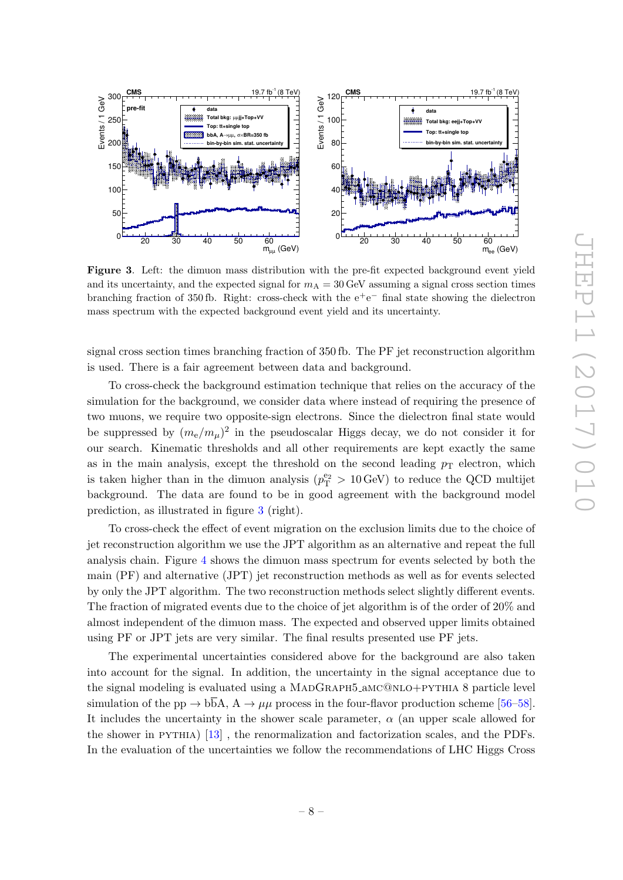

<span id="page-8-0"></span>Figure 3. Left: the dimuon mass distribution with the pre-fit expected background event yield and its uncertainty, and the expected signal for  $m_A = 30 \,\text{GeV}$  assuming a signal cross section times branching fraction of 350 fb. Right: cross-check with the  $e^+e^-$  final state showing the dielectron mass spectrum with the expected background event yield and its uncertainty.

signal cross section times branching fraction of 350 fb. The PF jet reconstruction algorithm is used. There is a fair agreement between data and background.

To cross-check the background estimation technique that relies on the accuracy of the simulation for the background, we consider data where instead of requiring the presence of two muons, we require two opposite-sign electrons. Since the dielectron final state would be suppressed by  $(m_e/m_\mu)^2$  in the pseudoscalar Higgs decay, we do not consider it for our search. Kinematic thresholds and all other requirements are kept exactly the same as in the main analysis, except the threshold on the second leading  $p_T$  electron, which is taken higher than in the dimuon analysis ( $p_T^{\rm e_2} > 10 \,\text{GeV}$ ) to reduce the QCD multijet background. The data are found to be in good agreement with the background model prediction, as illustrated in figure [3](#page-8-0) (right).

To cross-check the effect of event migration on the exclusion limits due to the choice of jet reconstruction algorithm we use the JPT algorithm as an alternative and repeat the full analysis chain. Figure [4](#page-9-0) shows the dimuon mass spectrum for events selected by both the main (PF) and alternative (JPT) jet reconstruction methods as well as for events selected by only the JPT algorithm. The two reconstruction methods select slightly different events. The fraction of migrated events due to the choice of jet algorithm is of the order of 20% and almost independent of the dimuon mass. The expected and observed upper limits obtained using PF or JPT jets are very similar. The final results presented use PF jets.

The experimental uncertainties considered above for the background are also taken into account for the signal. In addition, the uncertainty in the signal acceptance due to the signal modeling is evaluated using a MadGraph5 amc@nlo+pythia 8 particle level simulation of the pp  $\rightarrow$  bbA, A  $\rightarrow \mu\mu$  process in the four-flavor production scheme [\[56–](#page-14-16)[58\]](#page-14-17). It includes the uncertainty in the shower scale parameter,  $\alpha$  (an upper scale allowed for the shower in PYTHIA)  $[13]$ , the renormalization and factorization scales, and the PDFs. In the evaluation of the uncertainties we follow the recommendations of LHC Higgs Cross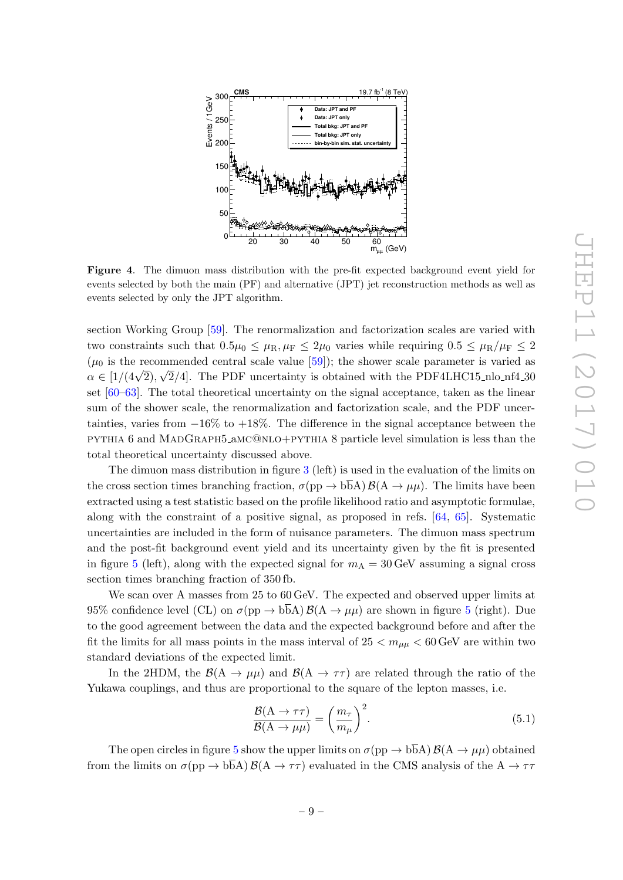

<span id="page-9-0"></span>Figure 4. The dimuon mass distribution with the pre-fit expected background event yield for events selected by both the main (PF) and alternative (JPT) jet reconstruction methods as well as events selected by only the JPT algorithm.

section Working Group [\[59\]](#page-15-0). The renormalization and factorization scales are varied with two constraints such that  $0.5\mu_0 \leq \mu_{\rm R}$ ,  $\mu_{\rm F} \leq 2\mu_0$  varies while requiring  $0.5 \leq \mu_{\rm R}/\mu_{\rm F} \leq 2$  $(\mu_0$  is the recommended central scale value [\[59\]](#page-15-0)); the shower scale parameter is varied as  $\alpha \in [1/(4\sqrt{2}), \sqrt{2}/4]$ . The PDF uncertainty is obtained with the PDF4LHC15 nlo nf4 30 set  $[60-63]$  $[60-63]$ . The total theoretical uncertainty on the signal acceptance, taken as the linear sum of the shower scale, the renormalization and factorization scale, and the PDF uncertainties, varies from  $-16\%$  to  $+18\%$ . The difference in the signal acceptance between the pythia 6 and MadGraph5 amc@nlo+pythia 8 particle level simulation is less than the total theoretical uncertainty discussed above.

The dimuon mass distribution in figure [3](#page-8-0) (left) is used in the evaluation of the limits on the cross section times branching fraction,  $\sigma(pp \to b\overline{b}A) \mathcal{B}(A \to \mu\mu)$ . The limits have been extracted using a test statistic based on the profile likelihood ratio and asymptotic formulae, along with the constraint of a positive signal, as proposed in refs. [\[64,](#page-15-3) [65\]](#page-15-4). Systematic uncertainties are included in the form of nuisance parameters. The dimuon mass spectrum and the post-fit background event yield and its uncertainty given by the fit is presented in figure [5](#page-10-1) (left), along with the expected signal for  $m_A = 30$  GeV assuming a signal cross section times branching fraction of 350 fb.

We scan over A masses from 25 to 60 GeV. The expected and observed upper limits at 9[5](#page-10-1)% confidence level (CL) on  $\sigma(pp \to b\overline{b}A) \mathcal{B}(A \to \mu\mu)$  are shown in figure 5 (right). Due to the good agreement between the data and the expected background before and after the fit the limits for all mass points in the mass interval of  $25 < m_{\mu\mu} < 60$  GeV are within two standard deviations of the expected limit.

In the 2HDM, the  $\mathcal{B}(A \to \mu\mu)$  and  $\mathcal{B}(A \to \tau\tau)$  are related through the ratio of the Yukawa couplings, and thus are proportional to the square of the lepton masses, i.e.

<span id="page-9-1"></span>
$$
\frac{\mathcal{B}(A \to \tau\tau)}{\mathcal{B}(A \to \mu\mu)} = \left(\frac{m_{\tau}}{m_{\mu}}\right)^2.
$$
\n(5.1)

The open circles in figure [5](#page-10-1) show the upper limits on  $\sigma(pp \to b\overline{b}A) \mathcal{B}(A \to \mu\mu)$  obtained from the limits on  $\sigma(pp \to b\overline{b}A) \mathcal{B}(A \to \tau\tau)$  evaluated in the CMS analysis of the  $A \to \tau\tau$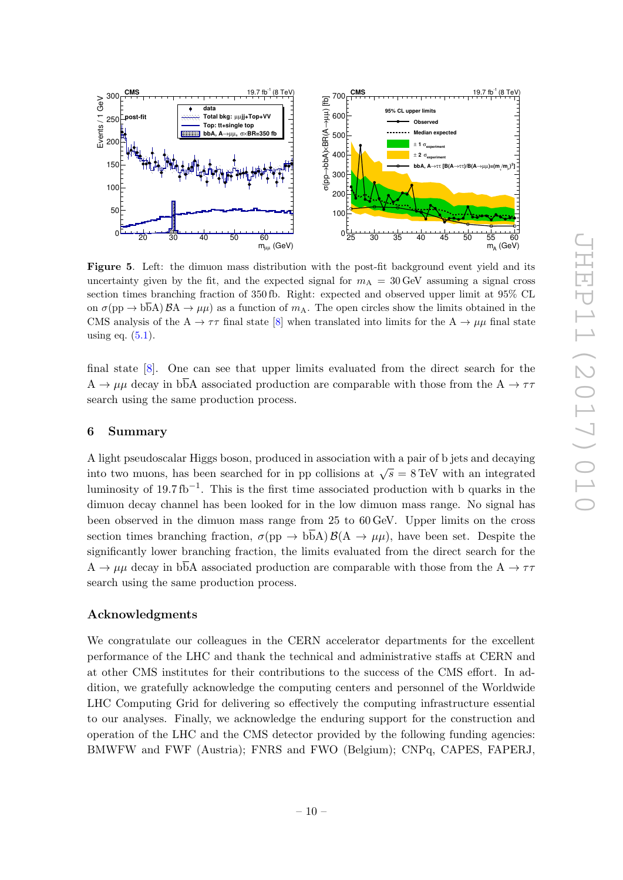

<span id="page-10-1"></span>Figure 5. Left: the dimuon mass distribution with the post-fit background event yield and its uncertainty given by the fit, and the expected signal for  $m_A = 30$  GeV assuming a signal cross section times branching fraction of 350 fb. Right: expected and observed upper limit at 95% CL on  $\sigma$ (pp  $\rightarrow$  bbA)  $\beta A \rightarrow \mu\mu$ ) as a function of  $m_A$ . The open circles show the limits obtained in the CMS analysis of the A  $\rightarrow \tau\tau$  final state [\[8\]](#page-12-4) when translated into limits for the A  $\rightarrow \mu\mu$  final state using eq.  $(5.1)$ .

final state [\[8\]](#page-12-4). One can see that upper limits evaluated from the direct search for the  $A \rightarrow \mu\mu$  decay in b<sub>b</sub>A associated production are comparable with those from the  $A \rightarrow \tau\tau$ search using the same production process.

### <span id="page-10-0"></span>6 Summary

A light pseudoscalar Higgs boson, produced in association with a pair of b jets and decaying into two muons, has been searched for in pp collisions at  $\sqrt{s} = 8$  TeV with an integrated luminosity of 19.7 fb<sup>-1</sup>. This is the first time associated production with b quarks in the dimuon decay channel has been looked for in the low dimuon mass range. No signal has been observed in the dimuon mass range from 25 to 60 GeV. Upper limits on the cross section times branching fraction,  $\sigma(pp \to b\overline{b}A) \mathcal{B}(A \to \mu\mu)$ , have been set. Despite the significantly lower branching fraction, the limits evaluated from the direct search for the  $A \rightarrow \mu\mu$  decay in bbA associated production are comparable with those from the  $A \rightarrow \tau\tau$ search using the same production process.

### Acknowledgments

We congratulate our colleagues in the CERN accelerator departments for the excellent performance of the LHC and thank the technical and administrative staffs at CERN and at other CMS institutes for their contributions to the success of the CMS effort. In addition, we gratefully acknowledge the computing centers and personnel of the Worldwide LHC Computing Grid for delivering so effectively the computing infrastructure essential to our analyses. Finally, we acknowledge the enduring support for the construction and operation of the LHC and the CMS detector provided by the following funding agencies: BMWFW and FWF (Austria); FNRS and FWO (Belgium); CNPq, CAPES, FAPERJ,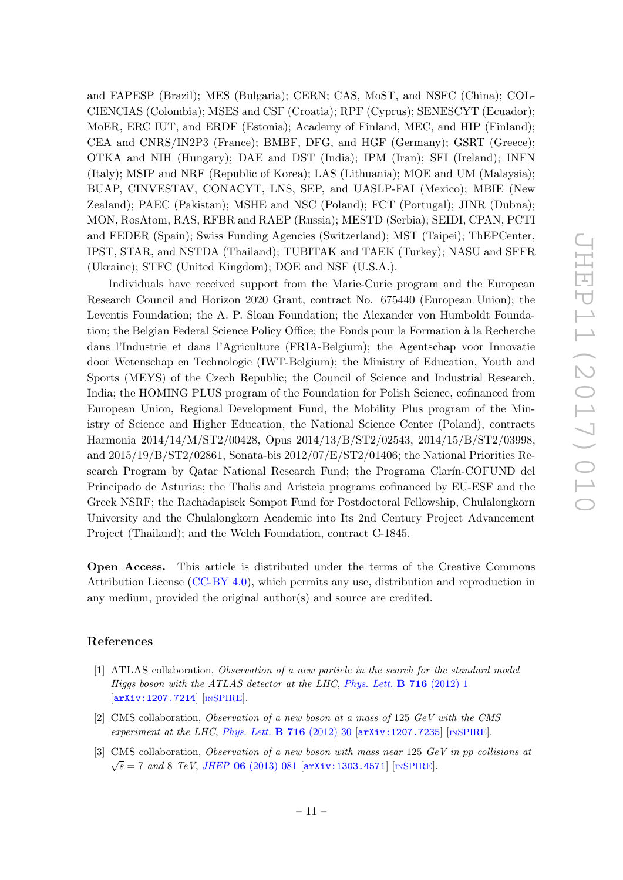and FAPESP (Brazil); MES (Bulgaria); CERN; CAS, MoST, and NSFC (China); COL-CIENCIAS (Colombia); MSES and CSF (Croatia); RPF (Cyprus); SENESCYT (Ecuador); MoER, ERC IUT, and ERDF (Estonia); Academy of Finland, MEC, and HIP (Finland); CEA and CNRS/IN2P3 (France); BMBF, DFG, and HGF (Germany); GSRT (Greece); OTKA and NIH (Hungary); DAE and DST (India); IPM (Iran); SFI (Ireland); INFN (Italy); MSIP and NRF (Republic of Korea); LAS (Lithuania); MOE and UM (Malaysia); BUAP, CINVESTAV, CONACYT, LNS, SEP, and UASLP-FAI (Mexico); MBIE (New Zealand); PAEC (Pakistan); MSHE and NSC (Poland); FCT (Portugal); JINR (Dubna); MON, RosAtom, RAS, RFBR and RAEP (Russia); MESTD (Serbia); SEIDI, CPAN, PCTI and FEDER (Spain); Swiss Funding Agencies (Switzerland); MST (Taipei); ThEPCenter, IPST, STAR, and NSTDA (Thailand); TUBITAK and TAEK (Turkey); NASU and SFFR (Ukraine); STFC (United Kingdom); DOE and NSF (U.S.A.).

Individuals have received support from the Marie-Curie program and the European Research Council and Horizon 2020 Grant, contract No. 675440 (European Union); the Leventis Foundation; the A. P. Sloan Foundation; the Alexander von Humboldt Foundation; the Belgian Federal Science Policy Office; the Fonds pour la Formation à la Recherche dans l'Industrie et dans l'Agriculture (FRIA-Belgium); the Agentschap voor Innovatie door Wetenschap en Technologie (IWT-Belgium); the Ministry of Education, Youth and Sports (MEYS) of the Czech Republic; the Council of Science and Industrial Research, India; the HOMING PLUS program of the Foundation for Polish Science, cofinanced from European Union, Regional Development Fund, the Mobility Plus program of the Ministry of Science and Higher Education, the National Science Center (Poland), contracts Harmonia 2014/14/M/ST2/00428, Opus 2014/13/B/ST2/02543, 2014/15/B/ST2/03998, and 2015/19/B/ST2/02861, Sonata-bis 2012/07/E/ST2/01406; the National Priorities Research Program by Qatar National Research Fund; the Programa Clarín-COFUND del Principado de Asturias; the Thalis and Aristeia programs cofinanced by EU-ESF and the Greek NSRF; the Rachadapisek Sompot Fund for Postdoctoral Fellowship, Chulalongkorn University and the Chulalongkorn Academic into Its 2nd Century Project Advancement Project (Thailand); and the Welch Foundation, contract C-1845.

Open Access. This article is distributed under the terms of the Creative Commons Attribution License [\(CC-BY 4.0\)](https://creativecommons.org/licenses/by/4.0/), which permits any use, distribution and reproduction in any medium, provided the original author(s) and source are credited.

# References

- <span id="page-11-0"></span>[1] ATLAS collaboration, Observation of a new particle in the search for the standard model Higgs boson with the ATLAS detector at the LHC, [Phys. Lett.](https://doi.org/10.1016/j.physletb.2012.08.020) **B** 716 (2012) 1 [[arXiv:1207.7214](https://arxiv.org/abs/1207.7214)] [IN[SPIRE](https://inspirehep.net/search?p=find+EPRINT+arXiv:1207.7214)].
- [2] CMS collaboration, Observation of a new boson at a mass of 125 GeV with the CMS experiment at the LHC, [Phys. Lett.](https://doi.org/10.1016/j.physletb.2012.08.021) **B** 716 (2012) 30  $\left[$ [arXiv:1207.7235](https://arxiv.org/abs/1207.7235) $\right]$  [IN[SPIRE](https://inspirehep.net/search?p=find+EPRINT+arXiv:1207.7235)].
- <span id="page-11-1"></span>[3] CMS collaboration, Observation of a new boson with mass near 125 GeV in pp collisions at  $\sqrt{s}$  = 7 and 8 TeV, JHEP 06 [\(2013\) 081](https://doi.org/10.1007/JHEP06(2013)081) [[arXiv:1303.4571](https://arxiv.org/abs/1303.4571)] [IN[SPIRE](https://inspirehep.net/search?p=find+EPRINT+arXiv:1303.4571)].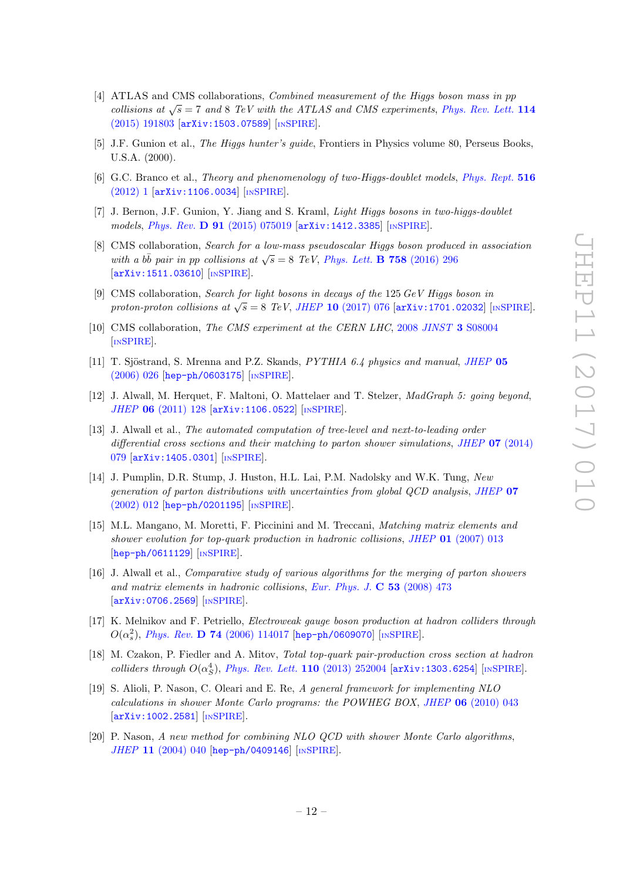- <span id="page-12-0"></span>[4] ATLAS and CMS collaborations, Combined measurement of the Higgs boson mass in pp collisions at  $\sqrt{s}$  = 7 and 8 TeV with the ATLAS and CMS experiments, [Phys. Rev. Lett.](https://doi.org/10.1103/PhysRevLett.114.191803) 114 [\(2015\) 191803](https://doi.org/10.1103/PhysRevLett.114.191803) [[arXiv:1503.07589](https://arxiv.org/abs/1503.07589)] [IN[SPIRE](https://inspirehep.net/search?p=find+EPRINT+arXiv:1503.07589)].
- <span id="page-12-1"></span>[5] J.F. Gunion et al., The Higgs hunter's guide, Frontiers in Physics volume 80, Perseus Books, U.S.A. (2000).
- <span id="page-12-2"></span>[6] G.C. Branco et al., Theory and phenomenology of two-Higgs-doublet models, [Phys. Rept.](https://doi.org/10.1016/j.physrep.2012.02.002) 516 [\(2012\) 1](https://doi.org/10.1016/j.physrep.2012.02.002) [[arXiv:1106.0034](https://arxiv.org/abs/1106.0034)] [IN[SPIRE](https://inspirehep.net/search?p=find+EPRINT+arXiv:1106.0034)].
- <span id="page-12-3"></span>[7] J. Bernon, J.F. Gunion, Y. Jiang and S. Kraml, Light Higgs bosons in two-higgs-doublet models, Phys. Rev. D 91 [\(2015\) 075019](https://doi.org/10.1103/PhysRevD.91.075019) [[arXiv:1412.3385](https://arxiv.org/abs/1412.3385)] [IN[SPIRE](https://inspirehep.net/search?p=find+EPRINT+arXiv:1412.3385)].
- <span id="page-12-4"></span>[8] CMS collaboration, Search for a low-mass pseudoscalar Higgs boson produced in association with a  $b\bar{b}$  pair in pp collisions at  $\sqrt{s} = 8$  TeV, [Phys. Lett.](https://doi.org/10.1016/j.physletb.2016.05.003) **B 758** (2016) 296 [[arXiv:1511.03610](https://arxiv.org/abs/1511.03610)] [IN[SPIRE](https://inspirehep.net/search?p=find+EPRINT+arXiv:1511.03610)].
- <span id="page-12-5"></span>[9] CMS collaboration, Search for light bosons in decays of the 125 GeV Higgs boson in proton-proton collisions at  $\sqrt{s} = 8$  TeV, JHEP 10 [\(2017\) 076](https://doi.org/10.1007/JHEP10(2017)076) [[arXiv:1701.02032](https://arxiv.org/abs/1701.02032)] [IN[SPIRE](https://inspirehep.net/search?p=find+EPRINT+arXiv:1701.02032)].
- <span id="page-12-6"></span>[10] CMS collaboration, The CMS experiment at the CERN LHC, 2008 JINST 3 [S08004](https://doi.org/10.1088/1748-0221/3/08/S08004) [IN[SPIRE](https://inspirehep.net/search?p=find+J+%22JINST,3,S08004%22)].
- <span id="page-12-7"></span>[11] T. Sjöstrand, S. Mrenna and P.Z. Skands,  $PYTHIA$  6.4 physics and manual, [JHEP](https://doi.org/10.1088/1126-6708/2006/05/026) 05 [\(2006\) 026](https://doi.org/10.1088/1126-6708/2006/05/026) [[hep-ph/0603175](https://arxiv.org/abs/hep-ph/0603175)] [IN[SPIRE](https://inspirehep.net/search?p=find+EPRINT+hep-ph/0603175)].
- <span id="page-12-8"></span>[12] J. Alwall, M. Herquet, F. Maltoni, O. Mattelaer and T. Stelzer, *MadGraph 5: going beyond*, JHEP 06 [\(2011\) 128](https://doi.org/10.1007/JHEP06(2011)128) [[arXiv:1106.0522](https://arxiv.org/abs/1106.0522)] [IN[SPIRE](https://inspirehep.net/search?p=find+EPRINT+arXiv:1106.0522)].
- <span id="page-12-9"></span>[13] J. Alwall et al., The automated computation of tree-level and next-to-leading order differential cross sections and their matching to parton shower simulations, JHEP 07 [\(2014\)](https://doi.org/10.1007/JHEP07(2014)079) [079](https://doi.org/10.1007/JHEP07(2014)079) [[arXiv:1405.0301](https://arxiv.org/abs/1405.0301)] [IN[SPIRE](https://inspirehep.net/search?p=find+EPRINT+arXiv:1405.0301)].
- <span id="page-12-10"></span>[14] J. Pumplin, D.R. Stump, J. Huston, H.L. Lai, P.M. Nadolsky and W.K. Tung, New generation of parton distributions with uncertainties from global QCD analysis, [JHEP](https://doi.org/10.1088/1126-6708/2002/07/012) 07 [\(2002\) 012](https://doi.org/10.1088/1126-6708/2002/07/012) [[hep-ph/0201195](https://arxiv.org/abs/hep-ph/0201195)] [IN[SPIRE](https://inspirehep.net/search?p=find+EPRINT+hep-ph/0201195)].
- <span id="page-12-11"></span>[15] M.L. Mangano, M. Moretti, F. Piccinini and M. Treccani, Matching matrix elements and shower evolution for top-quark production in hadronic collisions, JHEP 01 [\(2007\) 013](https://doi.org/10.1088/1126-6708/2007/01/013) [[hep-ph/0611129](https://arxiv.org/abs/hep-ph/0611129)] [IN[SPIRE](https://inspirehep.net/search?p=find+EPRINT+hep-ph/0611129)].
- <span id="page-12-12"></span>[16] J. Alwall et al., Comparative study of various algorithms for the merging of parton showers and matrix elements in hadronic collisions, [Eur. Phys. J.](https://doi.org/10.1140/epjc/s10052-007-0490-5) C 53 (2008) 473 [[arXiv:0706.2569](https://arxiv.org/abs/0706.2569)] [IN[SPIRE](https://inspirehep.net/search?p=find+EPRINT+arXiv:0706.2569)].
- <span id="page-12-13"></span>[17] K. Melnikov and F. Petriello, Electroweak gauge boson production at hadron colliders through  $O(\alpha_s^2)$ , *Phys. Rev.* **D 74** [\(2006\) 114017](https://doi.org/10.1103/PhysRevD.74.114017) [[hep-ph/0609070](https://arxiv.org/abs/hep-ph/0609070)] [IN[SPIRE](https://inspirehep.net/search?p=find+EPRINT+hep-ph/0609070)].
- <span id="page-12-14"></span>[18] M. Czakon, P. Fiedler and A. Mitov, Total top-quark pair-production cross section at hadron colliders through  $O(\alpha_S^4)$ , [Phys. Rev. Lett.](https://doi.org/10.1103/PhysRevLett.110.252004) 110 (2013) 252004 [[arXiv:1303.6254](https://arxiv.org/abs/1303.6254)] [IN[SPIRE](https://inspirehep.net/search?p=find+EPRINT+arXiv:1303.6254)].
- <span id="page-12-15"></span>[19] S. Alioli, P. Nason, C. Oleari and E. Re, A general framework for implementing NLO calculations in shower Monte Carlo programs: the POWHEG BOX, JHEP 06 [\(2010\) 043](https://doi.org/10.1007/JHEP06(2010)043) [[arXiv:1002.2581](https://arxiv.org/abs/1002.2581)] [IN[SPIRE](https://inspirehep.net/search?p=find+EPRINT+arXiv:1002.2581)].
- [20] P. Nason, A new method for combining NLO QCD with shower Monte Carlo algorithms, JHEP 11 [\(2004\) 040](https://doi.org/10.1088/1126-6708/2004/11/040) [[hep-ph/0409146](https://arxiv.org/abs/hep-ph/0409146)] [IN[SPIRE](https://inspirehep.net/search?p=find+EPRINT+hep-ph/0409146)].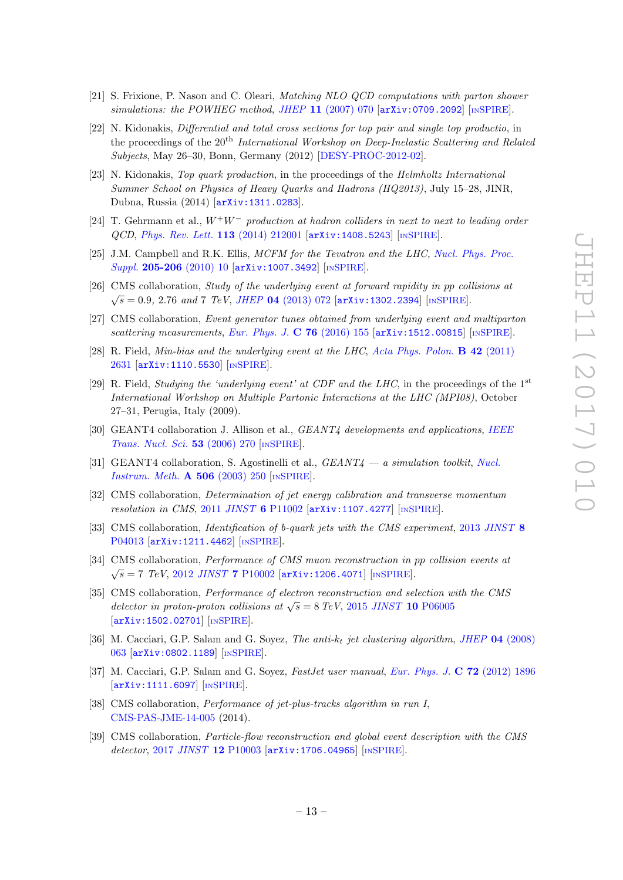- <span id="page-13-0"></span>[21] S. Frixione, P. Nason and C. Oleari, Matching NLO QCD computations with parton shower simulations: the POWHEG method, JHEP 11 [\(2007\) 070](https://doi.org/10.1088/1126-6708/2007/11/070)  $\left[$ [arXiv:0709.2092](https://arxiv.org/abs/0709.2092) $\right]$   $\left[$ IN[SPIRE](https://inspirehep.net/search?p=find+EPRINT+arXiv:0709.2092) $\right]$ .
- <span id="page-13-1"></span>[22] N. Kidonakis, Differential and total cross sections for top pair and single top productio, in the proceedings of the 20th International Workshop on Deep-Inelastic Scattering and Related Subjects, May 26–30, Bonn, Germany (2012) [\[DESY-PROC-2012-02\]](http://cds.cern.ch/record/1431857).
- <span id="page-13-2"></span>[23] N. Kidonakis, Top quark production, in the proceedings of the Helmholtz International Summer School on Physics of Heavy Quarks and Hadrons (HQ2013), July 15–28, JINR, Dubna, Russia (2014) [[arXiv:1311.0283](https://arxiv.org/abs/1311.0283)].
- <span id="page-13-3"></span>[24] T. Gehrmann et al.,  $W^+W^-$  production at hadron colliders in next to next to leading order QCD, [Phys. Rev. Lett.](https://doi.org/10.1103/PhysRevLett.113.212001) 113 (2014) 212001 [[arXiv:1408.5243](https://arxiv.org/abs/1408.5243)] [IN[SPIRE](https://inspirehep.net/search?p=find+EPRINT+arXiv:1408.5243)].
- <span id="page-13-4"></span>[25] J.M. Campbell and R.K. Ellis, MCFM for the Tevatron and the LHC, [Nucl. Phys. Proc.](https://doi.org/10.1016/j.nuclphysBPS.2010.08.011) Suppl. 205-206 [\(2010\) 10](https://doi.org/10.1016/j.nuclphysBPS.2010.08.011) [[arXiv:1007.3492](https://arxiv.org/abs/1007.3492)] [IN[SPIRE](https://inspirehep.net/search?p=find+EPRINT+arXiv:1007.3492)].
- <span id="page-13-5"></span>[26] CMS collaboration, Study of the underlying event at forward rapidity in pp collisions at  $\sqrt{s} = 0.9$ , 2.76 and 7 TeV, JHEP 04 [\(2013\) 072](https://doi.org/10.1007/JHEP04(2013)072) [[arXiv:1302.2394](https://arxiv.org/abs/1302.2394)] [IN[SPIRE](https://inspirehep.net/search?p=find+EPRINT+arXiv:1302.2394)].
- <span id="page-13-6"></span>[27] CMS collaboration, Event generator tunes obtained from underlying event and multiparton scattering measurements, [Eur. Phys. J.](https://doi.org/10.1140/epjc/s10052-016-3988-x) C  $76$  (2016) 155 [[arXiv:1512.00815](https://arxiv.org/abs/1512.00815)] [IN[SPIRE](https://inspirehep.net/search?p=find+EPRINT+arXiv:1512.00815)].
- <span id="page-13-7"></span>[28] R. Field, Min-bias and the underlying event at the LHC, [Acta Phys. Polon.](https://doi.org/10.5506/APhysPolB.42.2631) B 42 (2011) [2631](https://doi.org/10.5506/APhysPolB.42.2631) [[arXiv:1110.5530](https://arxiv.org/abs/1110.5530)] [IN[SPIRE](https://inspirehep.net/search?p=find+EPRINT+arXiv:1110.5530)].
- <span id="page-13-8"></span>[29] R. Field, *Studying the 'underlying event' at CDF and the LHC*, in the proceedings of the  $1<sup>st</sup>$ International Workshop on Multiple Partonic Interactions at the LHC (MPI08), October 27–31, Perugia, Italy (2009).
- <span id="page-13-9"></span>[30] GEANT4 collaboration J. Allison et al., *GEANT4 developments and applications*, *[IEEE](https://doi.org/10.1109/TNS.2006.869826)* [Trans. Nucl. Sci.](https://doi.org/10.1109/TNS.2006.869826) 53 (2006) 270 [IN[SPIRE](https://inspirehep.net/search?p=find+J+IETNA,53,270)].
- <span id="page-13-10"></span>[31] GEANT4 collaboration, S. Agostinelli et al.,  $GEANT4 - a$  simulation toolkit, [Nucl.](https://doi.org/10.1016/S0168-9002(03)01368-8) [Instrum. Meth.](https://doi.org/10.1016/S0168-9002(03)01368-8) A 506 (2003) 250 [IN[SPIRE](https://inspirehep.net/search?p=find+J+%22Nucl.Instrum.Meth.,A506,250%22)].
- <span id="page-13-11"></span>[32] CMS collaboration, Determination of jet energy calibration and transverse momentum resolution in CMS, 2011 JINST 6 [P11002](https://doi.org/10.1088/1748-0221/6/11/P11002) [[arXiv:1107.4277](https://arxiv.org/abs/1107.4277)] [IN[SPIRE](https://inspirehep.net/search?p=find+EPRINT+arXiv:1107.4277)].
- <span id="page-13-12"></span>[33] CMS collaboration, *Identification of b-quark jets with the CMS experiment*, 2013 *[JINST](https://doi.org/10.1088/1748-0221/8/04/P04013)* 8 [P04013](https://doi.org/10.1088/1748-0221/8/04/P04013) [[arXiv:1211.4462](https://arxiv.org/abs/1211.4462)] [IN[SPIRE](https://inspirehep.net/search?p=find+EPRINT+arXiv:1211.4462)].
- <span id="page-13-13"></span>[34] CMS collaboration, *Performance of CMS muon reconstruction in pp collision events at*  $\sqrt{s} = 7$  TeV, 2012 JINST 7 [P10002](https://doi.org/10.1088/1748-0221/7/10/P10002) [[arXiv:1206.4071](https://arxiv.org/abs/1206.4071)] [IN[SPIRE](https://inspirehep.net/search?p=find+EPRINT+arXiv:1206.4071)].
- <span id="page-13-14"></span>[35] CMS collaboration, Performance of electron reconstruction and selection with the CMS  $\alpha$  detector in proton-proton collisions at  $\sqrt{s} = 8 \text{ TeV}$ , 2015 JINST 10 [P06005](https://doi.org/10.1088/1748-0221/10/06/P06005) [[arXiv:1502.02701](https://arxiv.org/abs/1502.02701)] [IN[SPIRE](https://inspirehep.net/search?p=find+EPRINT+arXiv:1502.02701)].
- <span id="page-13-15"></span>[36] M. Cacciari, G.P. Salam and G. Soyez, The anti- $k_t$  jet clustering algorithm, JHEP 04 [\(2008\)](https://doi.org/10.1088/1126-6708/2008/04/063) [063](https://doi.org/10.1088/1126-6708/2008/04/063) [[arXiv:0802.1189](https://arxiv.org/abs/0802.1189)] [IN[SPIRE](https://inspirehep.net/search?p=find+EPRINT+arXiv:0802.1189)].
- <span id="page-13-16"></span>[37] M. Cacciari, G.P. Salam and G. Sovez, FastJet user manual, [Eur. Phys. J.](https://doi.org/10.1140/epjc/s10052-012-1896-2) C 72 (2012) 1896 [[arXiv:1111.6097](https://arxiv.org/abs/1111.6097)] [IN[SPIRE](https://inspirehep.net/search?p=find+EPRINT+arXiv:1111.6097)].
- <span id="page-13-17"></span>[38] CMS collaboration, *Performance of jet-plus-tracks algorithm in run I*, [CMS-PAS-JME-14-005](http://cds.cern.ch/record/2057602) (2014).
- <span id="page-13-18"></span>[39] CMS collaboration, Particle-flow reconstruction and global event description with the CMS detector, 2017 JINST 12 [P10003](https://doi.org/10.1088/1748-0221/12/10/P10003) [[arXiv:1706.04965](https://arxiv.org/abs/1706.04965)] [IN[SPIRE](https://inspirehep.net/search?p=find+EPRINT+arXiv:1706.04965)].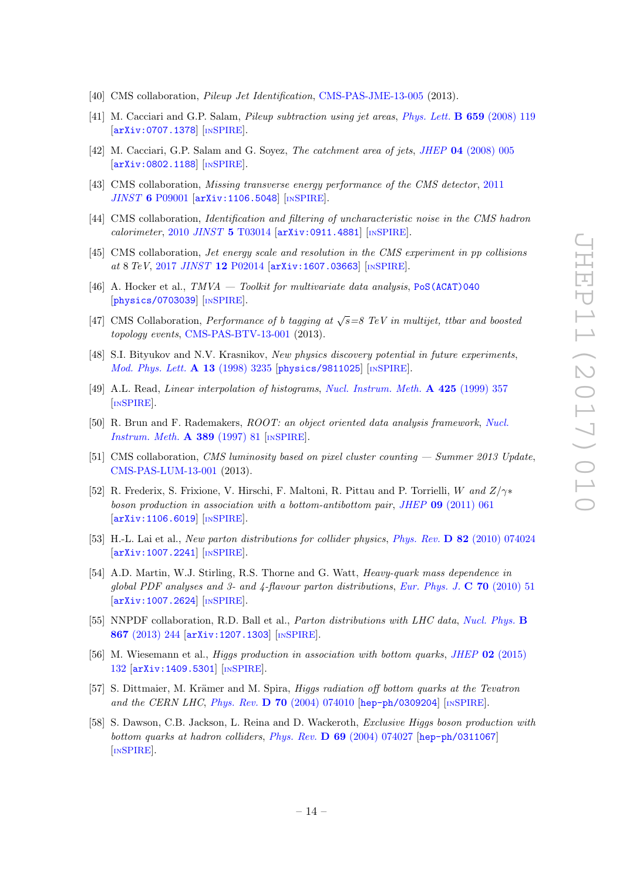- <span id="page-14-0"></span>[40] CMS collaboration, Pileup Jet Identification, [CMS-PAS-JME-13-005](http://cds.cern.ch/record/1581583) (2013).
- <span id="page-14-1"></span>[41] M. Cacciari and G.P. Salam, Pileup subtraction using jet areas, [Phys. Lett.](https://doi.org/10.1016/j.physletb.2007.09.077) B 659 (2008) 119 [[arXiv:0707.1378](https://arxiv.org/abs/0707.1378)] [IN[SPIRE](https://inspirehep.net/search?p=find+EPRINT+arXiv:0707.1378)].
- <span id="page-14-2"></span>[42] M. Cacciari, G.P. Salam and G. Soyez, *The catchment area of jets, JHEP* 04 [\(2008\) 005](https://doi.org/10.1088/1126-6708/2008/04/005) [[arXiv:0802.1188](https://arxiv.org/abs/0802.1188)] [IN[SPIRE](https://inspirehep.net/search?p=find+EPRINT+arXiv:0802.1188)].
- <span id="page-14-3"></span>[43] CMS collaboration, *Missing transverse energy performance of the CMS detector*, [2011](https://doi.org/10.1088/1748-0221/6/09/P09001) JINST 6 [P09001](https://doi.org/10.1088/1748-0221/6/09/P09001) [[arXiv:1106.5048](https://arxiv.org/abs/1106.5048)] [IN[SPIRE](https://inspirehep.net/search?p=find+EPRINT+arXiv:1106.5048)].
- <span id="page-14-4"></span>[44] CMS collaboration, Identification and filtering of uncharacteristic noise in the CMS hadron  $calorimeter$ , 2010 JINST 5 [T03014](https://doi.org/10.1088/1748-0221/5/03/T03014)  $\text{arXiv:}$ 0911.4881  $\text{INSPIRE}$  $\text{INSPIRE}$  $\text{INSPIRE}$ .
- <span id="page-14-5"></span>[45] CMS collaboration, Jet energy scale and resolution in the CMS experiment in pp collisions at 8 TeV, 2017 JINST 12 [P02014](https://doi.org/10.1088/1748-0221/12/02/P02014)  $arXiv:1607.03663$  [IN[SPIRE](https://inspirehep.net/search?p=find+EPRINT+arXiv:1607.03663)].
- <span id="page-14-6"></span>[46] A. Hocker et al.,  $TMVA$  — Toolkit for multivariate data analysis, [PoS\(ACAT\)040](https://pos.sissa.it/contribution?id=PoS(ACAT)040) [[physics/0703039](https://arxiv.org/abs/physics/0703039)] [IN[SPIRE](https://inspirehep.net/search?p=find+EPRINT+physics/0703039)].
- <span id="page-14-7"></span>[47] CMS Collaboration, *Performance of b tagging at*  $\sqrt{s} = 8$  TeV in multijet, ttbar and boosted topology events, [CMS-PAS-BTV-13-001](http://cds.cern.ch/record/1581306) (2013).
- <span id="page-14-8"></span>[48] S.I. Bityukov and N.V. Krasnikov, New physics discovery potential in future experiments, [Mod. Phys. Lett.](https://doi.org/10.1142/S0217732398003442) **A 13** (1998) 3235 [[physics/9811025](https://arxiv.org/abs/physics/9811025)] [IN[SPIRE](https://inspirehep.net/search?p=find+EPRINT+physics/9811025)].
- <span id="page-14-9"></span>[49] A.L. Read, Linear interpolation of histograms, [Nucl. Instrum. Meth.](https://doi.org/10.1016/S0168-9002(98)01347-3) A 425 (1999) 357 [IN[SPIRE](https://inspirehep.net/search?p=find+J+%22Nucl.Instrum.Meth.,A425,357%22)].
- <span id="page-14-10"></span>[50] R. Brun and F. Rademakers, ROOT: an object oriented data analysis framework, [Nucl.](https://doi.org/10.1016/S0168-9002(97)00048-X) [Instrum. Meth.](https://doi.org/10.1016/S0168-9002(97)00048-X) **A 389** (1997) 81 [IN[SPIRE](https://inspirehep.net/search?p=find+J+%22Nucl.Instrum.Meth.,A389,81%22)].
- <span id="page-14-11"></span>[51] CMS collaboration, CMS luminosity based on pixel cluster counting — Summer 2013 Update, [CMS-PAS-LUM-13-001](http://cds.cern.ch/record/1598864) (2013).
- <span id="page-14-12"></span>[52] R. Frederix, S. Frixione, V. Hirschi, F. Maltoni, R. Pittau and P. Torrielli, W and  $Z/\gamma^*$ boson production in association with a bottom-antibottom pair, JHEP 09 [\(2011\) 061](https://doi.org/10.1007/JHEP09(2011)061) [[arXiv:1106.6019](https://arxiv.org/abs/1106.6019)] [IN[SPIRE](https://inspirehep.net/search?p=find+EPRINT+arXiv:1106.6019)].
- <span id="page-14-13"></span>[53] H.-L. Lai et al., New parton distributions for collider physics, Phys. Rev. D 82 [\(2010\) 074024](https://doi.org/10.1103/PhysRevD.82.074024) [[arXiv:1007.2241](https://arxiv.org/abs/1007.2241)] [IN[SPIRE](https://inspirehep.net/search?p=find+EPRINT+arXiv:1007.2241)].
- <span id="page-14-14"></span>[54] A.D. Martin, W.J. Stirling, R.S. Thorne and G. Watt, *Heavy-quark mass dependence in* global PDF analyses and 3- and  $\frac{1}{4}$ -flavour parton distributions, [Eur. Phys. J.](https://doi.org/10.1140/epjc/s10052-010-1462-8) C 70 (2010) 51 [[arXiv:1007.2624](https://arxiv.org/abs/1007.2624)] [IN[SPIRE](https://inspirehep.net/search?p=find+EPRINT+arXiv:1007.2624)].
- <span id="page-14-15"></span>[55] NNPDF collaboration, R.D. Ball et al., Parton distributions with LHC data, [Nucl. Phys.](https://doi.org/10.1016/j.nuclphysb.2012.10.003) B 867 [\(2013\) 244](https://doi.org/10.1016/j.nuclphysb.2012.10.003) [[arXiv:1207.1303](https://arxiv.org/abs/1207.1303)] [IN[SPIRE](https://inspirehep.net/search?p=find+EPRINT+arXiv:1207.1303)].
- <span id="page-14-16"></span>[56] M. Wiesemann et al., *Higgs production in association with bottom quarks*, *JHEP* 02 [\(2015\)](https://doi.org/10.1007/JHEP02(2015)132) [132](https://doi.org/10.1007/JHEP02(2015)132) [[arXiv:1409.5301](https://arxiv.org/abs/1409.5301)] [IN[SPIRE](https://inspirehep.net/search?p=find+EPRINT+arXiv:1409.5301)].
- [57] S. Dittmaier, M. Krämer and M. Spira, *Higgs radiation off bottom quarks at the Tevatron* and the CERN LHC, Phys. Rev. D 70 [\(2004\) 074010](https://doi.org/10.1103/PhysRevD.70.074010) [[hep-ph/0309204](https://arxiv.org/abs/hep-ph/0309204)] [IN[SPIRE](https://inspirehep.net/search?p=find+EPRINT+hep-ph/0309204)].
- <span id="page-14-17"></span>[58] S. Dawson, C.B. Jackson, L. Reina and D. Wackeroth, Exclusive Higgs boson production with bottom quarks at hadron colliders, Phys. Rev. D 69 [\(2004\) 074027](https://doi.org/10.1103/PhysRevD.69.074027) [[hep-ph/0311067](https://arxiv.org/abs/hep-ph/0311067)] [IN[SPIRE](https://inspirehep.net/search?p=find+EPRINT+hep-ph/0311067)].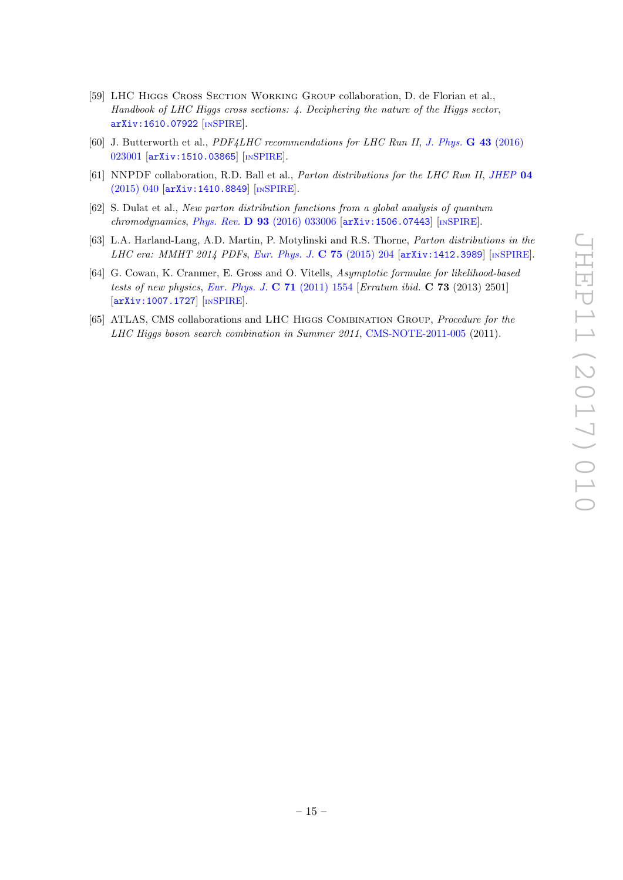- <span id="page-15-0"></span>[59] LHC Higgs Cross Section Working Group collaboration, D. de Florian et al., Handbook of LHC Higgs cross sections: 4. Deciphering the nature of the Higgs sector, [arXiv:1610.07922](https://arxiv.org/abs/1610.07922) [IN[SPIRE](https://inspirehep.net/search?p=find+EPRINT+arXiv:1610.07922)].
- <span id="page-15-1"></span>[60] J. Butterworth et al., PDF4LHC recommendations for LHC Run II, [J. Phys.](https://doi.org/10.1088/0954-3899/43/2/023001) **G 43** (2016) [023001](https://doi.org/10.1088/0954-3899/43/2/023001) [[arXiv:1510.03865](https://arxiv.org/abs/1510.03865)] [IN[SPIRE](https://inspirehep.net/search?p=find+EPRINT+arXiv:1510.03865)].
- [61] NNPDF collaboration, R.D. Ball et al., Parton distributions for the LHC Run II, [JHEP](https://doi.org/10.1007/JHEP04(2015)040) 04 [\(2015\) 040](https://doi.org/10.1007/JHEP04(2015)040) [[arXiv:1410.8849](https://arxiv.org/abs/1410.8849)] [IN[SPIRE](https://inspirehep.net/search?p=find+EPRINT+arXiv:1410.8849)].
- [62] S. Dulat et al., New parton distribution functions from a global analysis of quantum chromodynamics, Phys. Rev. D 93 [\(2016\) 033006](https://doi.org/10.1103/PhysRevD.93.033006) [[arXiv:1506.07443](https://arxiv.org/abs/1506.07443)] [IN[SPIRE](https://inspirehep.net/search?p=find+EPRINT+arXiv:1506.07443)].
- <span id="page-15-2"></span>[63] L.A. Harland-Lang, A.D. Martin, P. Motylinski and R.S. Thorne, Parton distributions in the LHC era: MMHT 2014 PDFs, [Eur. Phys. J.](https://doi.org/10.1140/epjc/s10052-015-3397-6) C 75 (2015) 204 [[arXiv:1412.3989](https://arxiv.org/abs/1412.3989)] [IN[SPIRE](https://inspirehep.net/search?p=find+EPRINT+arXiv:1412.3989)].
- <span id="page-15-3"></span>[64] G. Cowan, K. Cranmer, E. Gross and O. Vitells, Asymptotic formulae for likelihood-based tests of new physics, [Eur. Phys. J.](https://doi.org/10.1140/epjc/s10052-011-1554-0) C 71 (2011) 1554 [Erratum ibid. C 73 (2013) 2501] [[arXiv:1007.1727](https://arxiv.org/abs/1007.1727)] [IN[SPIRE](https://inspirehep.net/search?p=find+EPRINT+arXiv:1007.1727)].
- <span id="page-15-4"></span>[65] ATLAS, CMS collaborations and LHC Higgs Combination Group, Procedure for the LHC Higgs boson search combination in Summer 2011, [CMS-NOTE-2011-005](http://cds.cern.ch/record/1379837) (2011).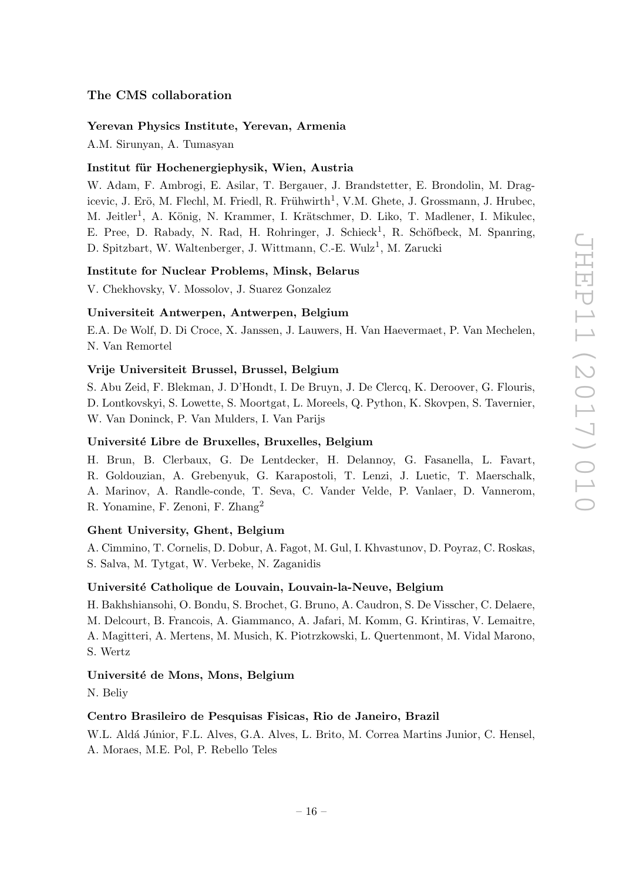# The CMS collaboration

### <span id="page-16-0"></span>Yerevan Physics Institute, Yerevan, Armenia

A.M. Sirunyan, A. Tumasyan

# Institut für Hochenergiephysik, Wien, Austria

W. Adam, F. Ambrogi, E. Asilar, T. Bergauer, J. Brandstetter, E. Brondolin, M. Dragicevic, J. Erö, M. Flechl, M. Friedl, R. Frühwirth<sup>1</sup>, V.M. Ghete, J. Grossmann, J. Hrubec, M. Jeitler<sup>1</sup>, A. König, N. Krammer, I. Krätschmer, D. Liko, T. Madlener, I. Mikulec, E. Pree, D. Rabady, N. Rad, H. Rohringer, J. Schieck<sup>1</sup>, R. Schöfbeck, M. Spanring, D. Spitzbart, W. Waltenberger, J. Wittmann, C.-E. Wulz<sup>1</sup>, M. Zarucki

#### Institute for Nuclear Problems, Minsk, Belarus

V. Chekhovsky, V. Mossolov, J. Suarez Gonzalez

### Universiteit Antwerpen, Antwerpen, Belgium

E.A. De Wolf, D. Di Croce, X. Janssen, J. Lauwers, H. Van Haevermaet, P. Van Mechelen, N. Van Remortel

### Vrije Universiteit Brussel, Brussel, Belgium

S. Abu Zeid, F. Blekman, J. D'Hondt, I. De Bruyn, J. De Clercq, K. Deroover, G. Flouris, D. Lontkovskyi, S. Lowette, S. Moortgat, L. Moreels, Q. Python, K. Skovpen, S. Tavernier, W. Van Doninck, P. Van Mulders, I. Van Parijs

### Universit´e Libre de Bruxelles, Bruxelles, Belgium

H. Brun, B. Clerbaux, G. De Lentdecker, H. Delannoy, G. Fasanella, L. Favart, R. Goldouzian, A. Grebenyuk, G. Karapostoli, T. Lenzi, J. Luetic, T. Maerschalk, A. Marinov, A. Randle-conde, T. Seva, C. Vander Velde, P. Vanlaer, D. Vannerom, R. Yonamine, F. Zenoni, F. Zhang<sup>2</sup>

# Ghent University, Ghent, Belgium

A. Cimmino, T. Cornelis, D. Dobur, A. Fagot, M. Gul, I. Khvastunov, D. Poyraz, C. Roskas, S. Salva, M. Tytgat, W. Verbeke, N. Zaganidis

### Université Catholique de Louvain, Louvain-la-Neuve, Belgium

H. Bakhshiansohi, O. Bondu, S. Brochet, G. Bruno, A. Caudron, S. De Visscher, C. Delaere, M. Delcourt, B. Francois, A. Giammanco, A. Jafari, M. Komm, G. Krintiras, V. Lemaitre, A. Magitteri, A. Mertens, M. Musich, K. Piotrzkowski, L. Quertenmont, M. Vidal Marono, S. Wertz

### Université de Mons, Mons, Belgium

N. Beliy

### Centro Brasileiro de Pesquisas Fisicas, Rio de Janeiro, Brazil

W.L. Aldá Júnior, F.L. Alves, G.A. Alves, L. Brito, M. Correa Martins Junior, C. Hensel, A. Moraes, M.E. Pol, P. Rebello Teles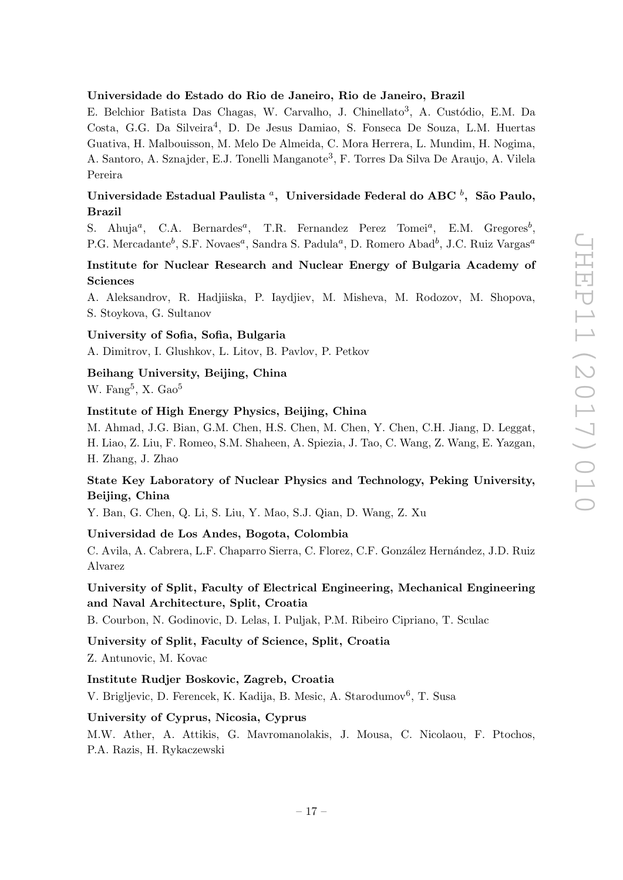### Universidade do Estado do Rio de Janeiro, Rio de Janeiro, Brazil

E. Belchior Batista Das Chagas, W. Carvalho, J. Chinellato<sup>3</sup>, A. Custódio, E.M. Da Costa, G.G. Da Silveira<sup>4</sup>, D. De Jesus Damiao, S. Fonseca De Souza, L.M. Huertas Guativa, H. Malbouisson, M. Melo De Almeida, C. Mora Herrera, L. Mundim, H. Nogima, A. Santoro, A. Sznajder, E.J. Tonelli Manganote<sup>3</sup>, F. Torres Da Silva De Araujo, A. Vilela Pereira

# Universidade Estadual Paulista <sup>a</sup>, Universidade Federal do ABC  $^b$ , São Paulo, Brazil

S. Ahuja<sup>a</sup>, C.A. Bernardes<sup>a</sup>, T.R. Fernandez Perez Tomei<sup>a</sup>, E.M. Gregores<sup>b</sup>, P.G. Mercadante<sup>b</sup>, S.F. Novaes<sup>a</sup>, Sandra S. Padula<sup>a</sup>, D. Romero Abad<sup>b</sup>, J.C. Ruiz Vargas<sup>a</sup>

# Institute for Nuclear Research and Nuclear Energy of Bulgaria Academy of Sciences

A. Aleksandrov, R. Hadjiiska, P. Iaydjiev, M. Misheva, M. Rodozov, M. Shopova, S. Stoykova, G. Sultanov

### University of Sofia, Sofia, Bulgaria

A. Dimitrov, I. Glushkov, L. Litov, B. Pavlov, P. Petkov

# Beihang University, Beijing, China

W.  $Fang<sup>5</sup>$ , X.  $Gao<sup>5</sup>$ 

# Institute of High Energy Physics, Beijing, China

M. Ahmad, J.G. Bian, G.M. Chen, H.S. Chen, M. Chen, Y. Chen, C.H. Jiang, D. Leggat, H. Liao, Z. Liu, F. Romeo, S.M. Shaheen, A. Spiezia, J. Tao, C. Wang, Z. Wang, E. Yazgan, H. Zhang, J. Zhao

# State Key Laboratory of Nuclear Physics and Technology, Peking University, Beijing, China

Y. Ban, G. Chen, Q. Li, S. Liu, Y. Mao, S.J. Qian, D. Wang, Z. Xu

### Universidad de Los Andes, Bogota, Colombia

C. Avila, A. Cabrera, L.F. Chaparro Sierra, C. Florez, C.F. González Hernández, J.D. Ruiz Alvarez

# University of Split, Faculty of Electrical Engineering, Mechanical Engineering and Naval Architecture, Split, Croatia

B. Courbon, N. Godinovic, D. Lelas, I. Puljak, P.M. Ribeiro Cipriano, T. Sculac

### University of Split, Faculty of Science, Split, Croatia

Z. Antunovic, M. Kovac

Institute Rudjer Boskovic, Zagreb, Croatia

V. Brigljevic, D. Ferencek, K. Kadija, B. Mesic, A. Starodumov<sup>6</sup>, T. Susa

#### University of Cyprus, Nicosia, Cyprus

M.W. Ather, A. Attikis, G. Mavromanolakis, J. Mousa, C. Nicolaou, F. Ptochos, P.A. Razis, H. Rykaczewski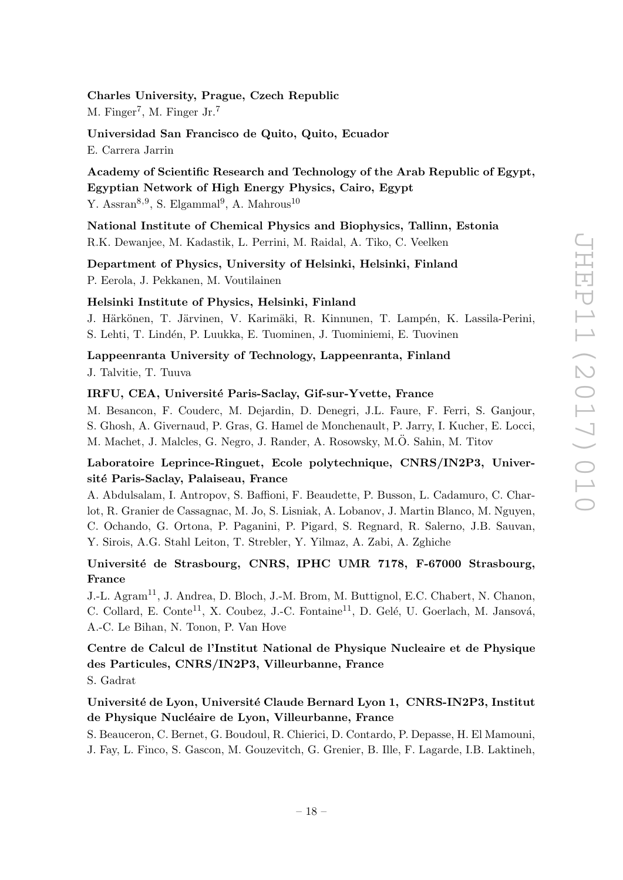# Charles University, Prague, Czech Republic

M. Finger<sup>7</sup>, M. Finger Jr.<sup>7</sup>

Universidad San Francisco de Quito, Quito, Ecuador E. Carrera Jarrin

Academy of Scientific Research and Technology of the Arab Republic of Egypt, Egyptian Network of High Energy Physics, Cairo, Egypt Y. Assran $^{8,9}$ , S. Elgammal<sup>9</sup>, A. Mahrous<sup>10</sup>

National Institute of Chemical Physics and Biophysics, Tallinn, Estonia R.K. Dewanjee, M. Kadastik, L. Perrini, M. Raidal, A. Tiko, C. Veelken

Department of Physics, University of Helsinki, Helsinki, Finland

P. Eerola, J. Pekkanen, M. Voutilainen

## Helsinki Institute of Physics, Helsinki, Finland

J. Härkönen, T. Järvinen, V. Karimäki, R. Kinnunen, T. Lampén, K. Lassila-Perini, S. Lehti, T. Lind´en, P. Luukka, E. Tuominen, J. Tuominiemi, E. Tuovinen

Lappeenranta University of Technology, Lappeenranta, Finland J. Talvitie, T. Tuuva

# IRFU, CEA, Université Paris-Saclay, Gif-sur-Yvette, France

M. Besancon, F. Couderc, M. Dejardin, D. Denegri, J.L. Faure, F. Ferri, S. Ganjour, S. Ghosh, A. Givernaud, P. Gras, G. Hamel de Monchenault, P. Jarry, I. Kucher, E. Locci, M. Machet, J. Malcles, G. Negro, J. Rander, A. Rosowsky, M.O. Sahin, M. Titov ¨

# Laboratoire Leprince-Ringuet, Ecole polytechnique, CNRS/IN2P3, Université Paris-Saclay, Palaiseau, France

A. Abdulsalam, I. Antropov, S. Baffioni, F. Beaudette, P. Busson, L. Cadamuro, C. Charlot, R. Granier de Cassagnac, M. Jo, S. Lisniak, A. Lobanov, J. Martin Blanco, M. Nguyen, C. Ochando, G. Ortona, P. Paganini, P. Pigard, S. Regnard, R. Salerno, J.B. Sauvan, Y. Sirois, A.G. Stahl Leiton, T. Strebler, Y. Yilmaz, A. Zabi, A. Zghiche

# Université de Strasbourg, CNRS, IPHC UMR 7178, F-67000 Strasbourg, France

J.-L. Agram<sup>11</sup>, J. Andrea, D. Bloch, J.-M. Brom, M. Buttignol, E.C. Chabert, N. Chanon, C. Collard, E. Conte<sup>11</sup>, X. Coubez, J.-C. Fontaine<sup>11</sup>, D. Gelé, U. Goerlach, M. Jansová, A.-C. Le Bihan, N. Tonon, P. Van Hove

Centre de Calcul de l'Institut National de Physique Nucleaire et de Physique des Particules, CNRS/IN2P3, Villeurbanne, France S. Gadrat

# Université de Lyon, Université Claude Bernard Lyon 1, CNRS-IN2P3, Institut de Physique Nucléaire de Lyon, Villeurbanne, France

S. Beauceron, C. Bernet, G. Boudoul, R. Chierici, D. Contardo, P. Depasse, H. El Mamouni, J. Fay, L. Finco, S. Gascon, M. Gouzevitch, G. Grenier, B. Ille, F. Lagarde, I.B. Laktineh,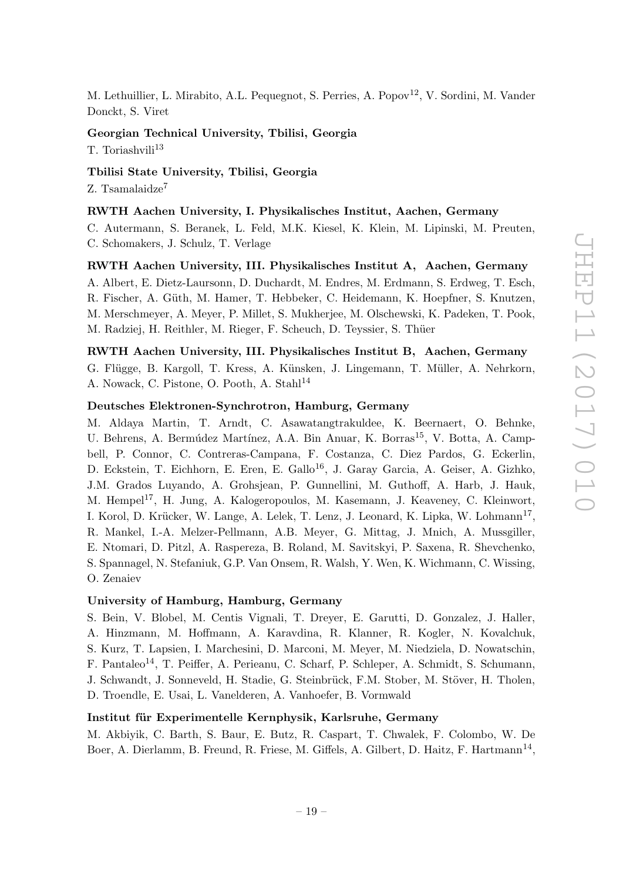M. Lethuillier, L. Mirabito, A.L. Pequegnot, S. Perries, A. Popov<sup>12</sup>, V. Sordini, M. Vander Donckt, S. Viret

### Georgian Technical University, Tbilisi, Georgia

T. Toriashvili $^{13}$ 

#### Tbilisi State University, Tbilisi, Georgia

Z. Tsamalaidze<sup>7</sup>

### RWTH Aachen University, I. Physikalisches Institut, Aachen, Germany

C. Autermann, S. Beranek, L. Feld, M.K. Kiesel, K. Klein, M. Lipinski, M. Preuten, C. Schomakers, J. Schulz, T. Verlage

#### RWTH Aachen University, III. Physikalisches Institut A, Aachen, Germany

A. Albert, E. Dietz-Laursonn, D. Duchardt, M. Endres, M. Erdmann, S. Erdweg, T. Esch, R. Fischer, A. Güth, M. Hamer, T. Hebbeker, C. Heidemann, K. Hoepfner, S. Knutzen, M. Merschmeyer, A. Meyer, P. Millet, S. Mukherjee, M. Olschewski, K. Padeken, T. Pook, M. Radziej, H. Reithler, M. Rieger, F. Scheuch, D. Teyssier, S. Thüer

### RWTH Aachen University, III. Physikalisches Institut B, Aachen, Germany

G. Flügge, B. Kargoll, T. Kress, A. Künsken, J. Lingemann, T. Müller, A. Nehrkorn, A. Nowack, C. Pistone, O. Pooth, A. Stahl<sup>14</sup>

## Deutsches Elektronen-Synchrotron, Hamburg, Germany

M. Aldaya Martin, T. Arndt, C. Asawatangtrakuldee, K. Beernaert, O. Behnke, U. Behrens, A. Bermúdez Martínez, A.A. Bin Anuar, K. Borras<sup>15</sup>, V. Botta, A. Campbell, P. Connor, C. Contreras-Campana, F. Costanza, C. Diez Pardos, G. Eckerlin, D. Eckstein, T. Eichhorn, E. Eren, E. Gallo<sup>16</sup>, J. Garay Garcia, A. Geiser, A. Gizhko, J.M. Grados Luyando, A. Grohsjean, P. Gunnellini, M. Guthoff, A. Harb, J. Hauk, M. Hempel<sup>17</sup>, H. Jung, A. Kalogeropoulos, M. Kasemann, J. Keaveney, C. Kleinwort, I. Korol, D. Krücker, W. Lange, A. Lelek, T. Lenz, J. Leonard, K. Lipka, W. Lohmann<sup>17</sup>, R. Mankel, I.-A. Melzer-Pellmann, A.B. Meyer, G. Mittag, J. Mnich, A. Mussgiller, E. Ntomari, D. Pitzl, A. Raspereza, B. Roland, M. Savitskyi, P. Saxena, R. Shevchenko, S. Spannagel, N. Stefaniuk, G.P. Van Onsem, R. Walsh, Y. Wen, K. Wichmann, C. Wissing, O. Zenaiev

### University of Hamburg, Hamburg, Germany

S. Bein, V. Blobel, M. Centis Vignali, T. Dreyer, E. Garutti, D. Gonzalez, J. Haller, A. Hinzmann, M. Hoffmann, A. Karavdina, R. Klanner, R. Kogler, N. Kovalchuk, S. Kurz, T. Lapsien, I. Marchesini, D. Marconi, M. Meyer, M. Niedziela, D. Nowatschin, F. Pantaleo<sup>14</sup>, T. Peiffer, A. Perieanu, C. Scharf, P. Schleper, A. Schmidt, S. Schumann, J. Schwandt, J. Sonneveld, H. Stadie, G. Steinbrück, F.M. Stober, M. Stöver, H. Tholen, D. Troendle, E. Usai, L. Vanelderen, A. Vanhoefer, B. Vormwald

### Institut für Experimentelle Kernphysik, Karlsruhe, Germany

M. Akbiyik, C. Barth, S. Baur, E. Butz, R. Caspart, T. Chwalek, F. Colombo, W. De Boer, A. Dierlamm, B. Freund, R. Friese, M. Giffels, A. Gilbert, D. Haitz, F. Hartmann<sup>14</sup>,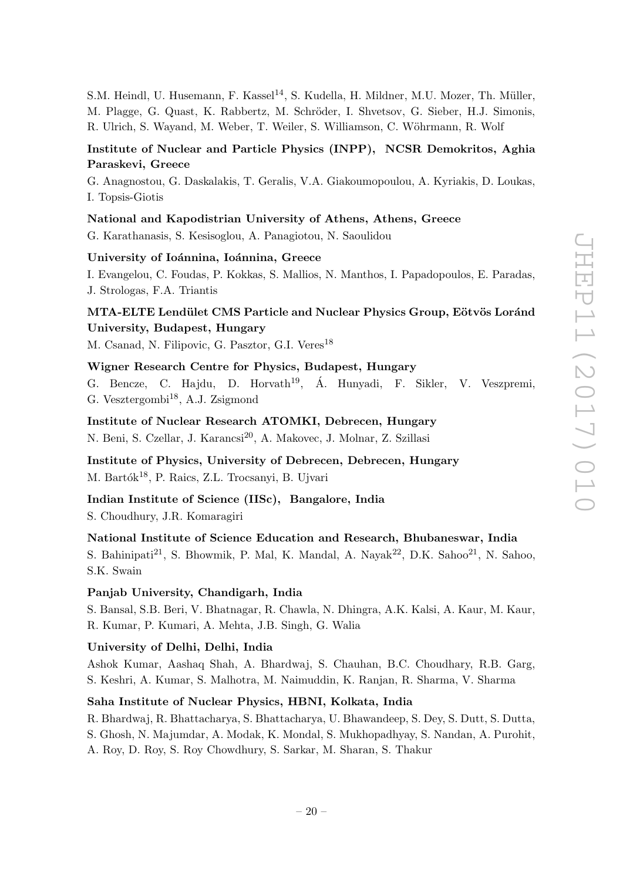S.M. Heindl, U. Husemann, F. Kassel<sup>14</sup>, S. Kudella, H. Mildner, M.U. Mozer, Th. Müller, M. Plagge, G. Quast, K. Rabbertz, M. Schröder, I. Shvetsov, G. Sieber, H.J. Simonis, R. Ulrich, S. Wayand, M. Weber, T. Weiler, S. Williamson, C. Wöhrmann, R. Wolf

# Institute of Nuclear and Particle Physics (INPP), NCSR Demokritos, Aghia Paraskevi, Greece

G. Anagnostou, G. Daskalakis, T. Geralis, V.A. Giakoumopoulou, A. Kyriakis, D. Loukas, I. Topsis-Giotis

#### National and Kapodistrian University of Athens, Athens, Greece

G. Karathanasis, S. Kesisoglou, A. Panagiotou, N. Saoulidou

### University of Ioánnina, Ioánnina, Greece

I. Evangelou, C. Foudas, P. Kokkas, S. Mallios, N. Manthos, I. Papadopoulos, E. Paradas, J. Strologas, F.A. Triantis

# MTA-ELTE Lendület CMS Particle and Nuclear Physics Group, Eötvös Loránd University, Budapest, Hungary

M. Csanad, N. Filipovic, G. Pasztor, G.I. Veres<sup>18</sup>

### Wigner Research Centre for Physics, Budapest, Hungary

G. Bencze, C. Hajdu, D. Horvath<sup>19</sup>, Á. Hunyadi, F. Sikler, V. Veszpremi, G. Vesztergombi $^{18}$ , A.J. Zsigmond

# Institute of Nuclear Research ATOMKI, Debrecen, Hungary

N. Beni, S. Czellar, J. Karancsi<sup>20</sup>, A. Makovec, J. Molnar, Z. Szillasi

Institute of Physics, University of Debrecen, Debrecen, Hungary M. Bartók<sup>18</sup>, P. Raics, Z.L. Trocsanyi, B. Ujvari

### Indian Institute of Science (IISc), Bangalore, India

S. Choudhury, J.R. Komaragiri

### National Institute of Science Education and Research, Bhubaneswar, India

S. Bahinipati<sup>21</sup>, S. Bhowmik, P. Mal, K. Mandal, A. Navak<sup>22</sup>, D.K. Sahoo<sup>21</sup>, N. Sahoo, S.K. Swain

### Panjab University, Chandigarh, India

S. Bansal, S.B. Beri, V. Bhatnagar, R. Chawla, N. Dhingra, A.K. Kalsi, A. Kaur, M. Kaur, R. Kumar, P. Kumari, A. Mehta, J.B. Singh, G. Walia

#### University of Delhi, Delhi, India

Ashok Kumar, Aashaq Shah, A. Bhardwaj, S. Chauhan, B.C. Choudhary, R.B. Garg, S. Keshri, A. Kumar, S. Malhotra, M. Naimuddin, K. Ranjan, R. Sharma, V. Sharma

### Saha Institute of Nuclear Physics, HBNI, Kolkata, India

R. Bhardwaj, R. Bhattacharya, S. Bhattacharya, U. Bhawandeep, S. Dey, S. Dutt, S. Dutta, S. Ghosh, N. Majumdar, A. Modak, K. Mondal, S. Mukhopadhyay, S. Nandan, A. Purohit,

A. Roy, D. Roy, S. Roy Chowdhury, S. Sarkar, M. Sharan, S. Thakur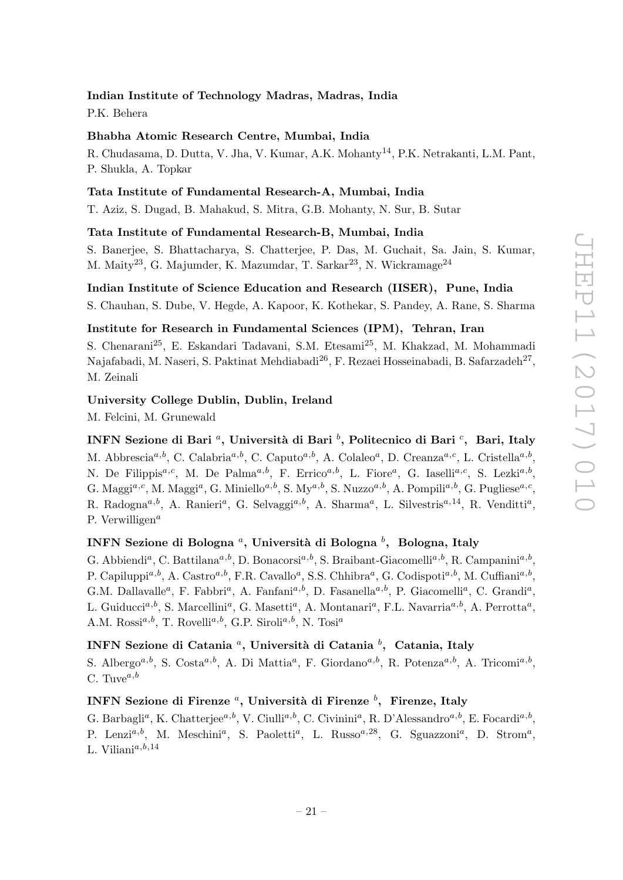### Indian Institute of Technology Madras, Madras, India

P.K. Behera

# Bhabha Atomic Research Centre, Mumbai, India

R. Chudasama, D. Dutta, V. Jha, V. Kumar, A.K. Mohanty<sup>14</sup>, P.K. Netrakanti, L.M. Pant, P. Shukla, A. Topkar

### Tata Institute of Fundamental Research-A, Mumbai, India

T. Aziz, S. Dugad, B. Mahakud, S. Mitra, G.B. Mohanty, N. Sur, B. Sutar

### Tata Institute of Fundamental Research-B, Mumbai, India

S. Banerjee, S. Bhattacharya, S. Chatterjee, P. Das, M. Guchait, Sa. Jain, S. Kumar, M. Maity<sup>23</sup>, G. Majumder, K. Mazumdar, T. Sarkar<sup>23</sup>, N. Wickramage<sup>24</sup>

#### Indian Institute of Science Education and Research (IISER), Pune, India

S. Chauhan, S. Dube, V. Hegde, A. Kapoor, K. Kothekar, S. Pandey, A. Rane, S. Sharma

### Institute for Research in Fundamental Sciences (IPM), Tehran, Iran

S. Chenarani25, E. Eskandari Tadavani, S.M. Etesami25, M. Khakzad, M. Mohammadi Najafabadi, M. Naseri, S. Paktinat Mehdiabadi<sup>26</sup>, F. Rezaei Hosseinabadi, B. Safarzadeh<sup>27</sup>, M. Zeinali

### University College Dublin, Dublin, Ireland

M. Felcini, M. Grunewald

# INFN Sezione di Bari <sup>a</sup>, Università di Bari  $^b$ , Politecnico di Bari  $^c$ , Bari, Italy

M. Abbrescia<sup>a,b</sup>, C. Calabria<sup>a,b</sup>, C. Caputo<sup>a,b</sup>, A. Colaleo<sup>a</sup>, D. Creanza<sup>a,c</sup>, L. Cristella<sup>a,b</sup>, N. De Filippis<sup>a,c</sup>, M. De Palma<sup>a,b</sup>, F. Errico<sup>a,b</sup>, L. Fiore<sup>a</sup>, G. Iaselli<sup>a,c</sup>, S. Lezki<sup>a,b</sup>, G. Maggi<sup>a,c</sup>, M. Maggi<sup>a</sup>, G. Miniello<sup>a,b</sup>, S. My<sup>a,b</sup>, S. Nuzzo<sup>a,b</sup>, A. Pompili<sup>a,b</sup>, G. Pugliese<sup>a,c</sup>, R. Radogna<sup>a,b</sup>, A. Ranieri<sup>a</sup>, G. Selvaggi<sup>a,b</sup>, A. Sharma<sup>a</sup>, L. Silvestris<sup>a,14</sup>, R. Venditti<sup>a</sup>, P. Verwilligen<sup> $a$ </sup>

# INFN Sezione di Bologna <sup>a</sup>, Università di Bologna  $^b$ , Bologna, Italy

G. Abbiendi<sup>a</sup>, C. Battilana<sup>a,b</sup>, D. Bonacorsi<sup>a,b</sup>, S. Braibant-Giacomelli<sup>a,b</sup>, R. Campanini<sup>a,b</sup>, P. Capiluppi<sup>a,b</sup>, A. Castro<sup>a,b</sup>, F.R. Cavallo<sup>a</sup>, S.S. Chhibra<sup>a</sup>, G. Codispoti<sup>a,b</sup>, M. Cuffiani<sup>a,b</sup>, G.M. Dallavalle<sup>a</sup>, F. Fabbri<sup>a</sup>, A. Fanfani<sup>a,b</sup>, D. Fasanella<sup>a,b</sup>, P. Giacomelli<sup>a</sup>, C. Grandi<sup>a</sup>, L. Guiducci<sup>a, b</sup>, S. Marcellini<sup>a</sup>, G. Masetti<sup>a</sup>, A. Montanari<sup>a</sup>, F.L. Navarria<sup>a, b</sup>, A. Perrotta<sup>a</sup>, A.M. Rossi<sup> $a,b$ </sup>, T. Rovelli $a,b$ , G.P. Siroli $a,b$ , N. Tosi $a$ 

# INFN Sezione di Catania <sup>a</sup>, Università di Catania  $^b$ , Catania, Italy

S. Albergo<sup>a,b</sup>, S. Costa<sup>a,b</sup>, A. Di Mattia<sup>a</sup>, F. Giordano<sup>a,b</sup>, R. Potenza<sup>a,b</sup>, A. Tricomi<sup>a,b</sup>, C. Tuve $^{a,b}$ 

# INFN Sezione di Firenze  $^a,$  Università di Firenze  $^b, \,$  Firenze, Italy

G. Barbagli<sup>a</sup>, K. Chatterjee<sup>a,b</sup>, V. Ciulli<sup>a,b</sup>, C. Civinini<sup>a</sup>, R. D'Alessandro<sup>a,b</sup>, E. Focardi<sup>a,b</sup>, P. Lenzi<sup>a,b</sup>, M. Meschini<sup>a</sup>, S. Paoletti<sup>a</sup>, L. Russo<sup>a,28</sup>, G. Sguazzoni<sup>a</sup>, D. Strom<sup>a</sup>, L. Viliani $a,b,14$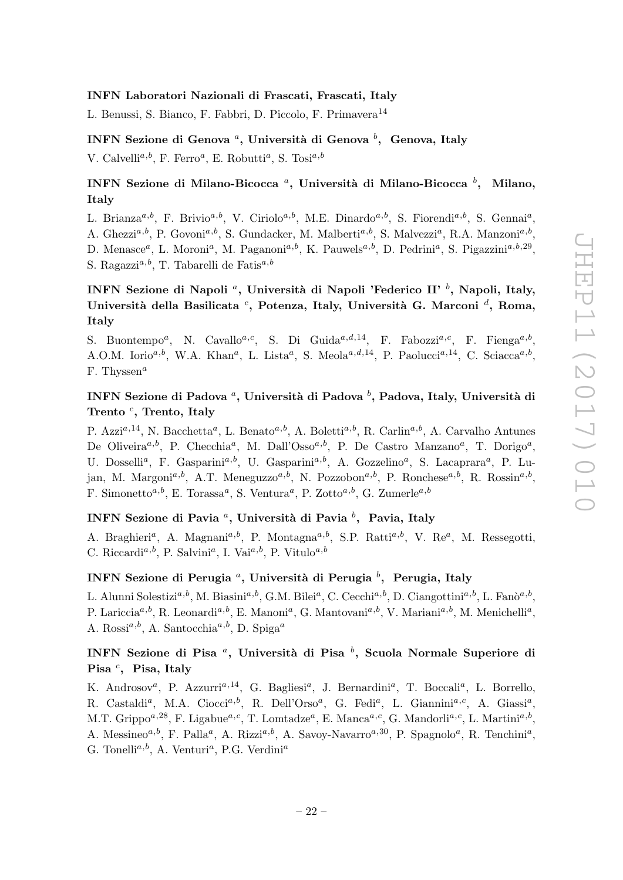### INFN Laboratori Nazionali di Frascati, Frascati, Italy

L. Benussi, S. Bianco, F. Fabbri, D. Piccolo, F. Primavera<sup>14</sup>

# INFN Sezione di Genova <sup>a</sup>, Università di Genova  $^b$ , Genova, Italy

V. Calvelli<sup>a,b</sup>, F. Ferro<sup>a</sup>, E. Robutti<sup>a</sup>, S. Tosi<sup>a,b</sup>

# INFN Sezione di Milano-Bicocca <sup>a</sup>, Università di Milano-Bicocca <sup>b</sup>, Milano, Italy

L. Brianza<sup>a,b</sup>, F. Brivio<sup>a,b</sup>, V. Ciriolo<sup>a,b</sup>, M.E. Dinardo<sup>a,b</sup>, S. Fiorendi<sup>a,b</sup>, S. Gennai<sup>a</sup>, A. Ghezzi<sup>a,b</sup>, P. Govoni<sup>a,b</sup>, S. Gundacker, M. Malberti<sup>a,b</sup>, S. Malvezzi<sup>a</sup>, R.A. Manzoni<sup>a,b</sup>, D. Menasce<sup>a</sup>, L. Moroni<sup>a</sup>, M. Paganoni<sup>a,b</sup>, K. Pauwels<sup>a,b</sup>, D. Pedrini<sup>a</sup>, S. Pigazzini<sup>a,b,29</sup>, S. Ragazzi<sup>a, b</sup>, T. Tabarelli de Fatis<sup>a, b</sup>

# INFN Sezione di Napoli <sup>a</sup>, Università di Napoli 'Federico II'  $^b$ , Napoli, Italy, Università della Basilicata  $^c$ , Potenza, Italy, Università G. Marconi  $^d$ , Roma, Italy

S. Buontempo<sup>a</sup>, N. Cavallo<sup>a,c</sup>, S. Di Guida<sup>a,d,14</sup>, F. Fabozzi<sup>a,c</sup>, F. Fienga<sup>a,b</sup>, A.O.M. Iorio<sup>a,b</sup>, W.A. Khan<sup>a</sup>, L. Lista<sup>a</sup>, S. Meola<sup>a,d,14</sup>, P. Paolucci<sup>a,14</sup>, C. Sciacca<sup>a,b</sup>, F. Thyssen<sup> $a$ </sup>

# INFN Sezione di Padova <sup>a</sup>, Università di Padova  $^b$ , Padova, Italy, Università di Trento <sup>c</sup>, Trento, Italy

P. Azzi<sup>a, 14</sup>, N. Bacchetta<sup>a</sup>, L. Benato<sup>a,b</sup>, A. Boletti<sup>a,b</sup>, R. Carlin<sup>a,b</sup>, A. Carvalho Antunes De Oliveira<sup>a,b</sup>, P. Checchia<sup>a</sup>, M. Dall'Osso<sup>a,b</sup>, P. De Castro Manzano<sup>a</sup>, T. Dorigo<sup>a</sup>, U. Dosselli<sup>a</sup>, F. Gasparini<sup>a,b</sup>, U. Gasparini<sup>a,b</sup>, A. Gozzelino<sup>a</sup>, S. Lacaprara<sup>a</sup>, P. Lujan, M. Margoni<sup>a,b</sup>, A.T. Meneguzzo<sup>a,b</sup>, N. Pozzobon<sup>a,b</sup>, P. Ronchese<sup>a,b</sup>, R. Rossin<sup>a,b</sup>, F. Simonetto<sup>a,b</sup>, E. Torassa<sup>a</sup>, S. Ventura<sup>a</sup>, P. Zotto<sup>a,b</sup>, G. Zumerle<sup>a,b</sup>

# INFN Sezione di Pavia  $^a,$  Università di Pavia  $^b, \,$  Pavia, Italy

A. Braghieri<sup>a</sup>, A. Magnani<sup>a,b</sup>, P. Montagna<sup>a,b</sup>, S.P. Ratti<sup>a,b</sup>, V. Re<sup>a</sup>, M. Ressegotti, C. Riccardi<sup>a,b</sup>, P. Salvini<sup>a</sup>, I. Vai<sup>a,b</sup>, P. Vitulo<sup>a,b</sup>

# INFN Sezione di Perugia  $^a,$  Università di Perugia  $^b, \,$  Perugia, Italy

L. Alunni Solestizi<sup>a,b</sup>, M. Biasini<sup>a,b</sup>, G.M. Bilei<sup>a</sup>, C. Cecchi<sup>a,b</sup>, D. Ciangottini<sup>a,b</sup>, L. Fanò<sup>a,b</sup>, P. Lariccia<sup>a,b</sup>, R. Leonardi<sup>a,b</sup>, E. Manoni<sup>a</sup>, G. Mantovani<sup>a,b</sup>, V. Mariani<sup>a,b</sup>, M. Menichelli<sup>a</sup>, A. Rossi<sup>a,b</sup>, A. Santocchia<sup>a,b</sup>, D. Spiga<sup>a</sup>

# INFN Sezione di Pisa <sup>a</sup>, Università di Pisa <sup>b</sup>, Scuola Normale Superiore di Pisa<sup>c</sup>, Pisa, Italy

K. Androsov<sup>a</sup>, P. Azzurri<sup>a, 14</sup>, G. Bagliesi<sup>a</sup>, J. Bernardini<sup>a</sup>, T. Boccali<sup>a</sup>, L. Borrello, R. Castaldi<sup>a</sup>, M.A. Ciocci<sup>a,b</sup>, R. Dell'Orso<sup>a</sup>, G. Fedi<sup>a</sup>, L. Giannini<sup>a,c</sup>, A. Giassi<sup>a</sup>, M.T. Grippo<sup>a, 28</sup>, F. Ligabue<sup>a, c</sup>, T. Lomtadze<sup>a</sup>, E. Manca<sup>a, c</sup>, G. Mandorli<sup>a, c</sup>, L. Martini<sup>a, b</sup>, A. Messineo<sup>a,b</sup>, F. Palla<sup>a</sup>, A. Rizzi<sup>a,b</sup>, A. Savoy-Navarro<sup>a,30</sup>, P. Spagnolo<sup>a</sup>, R. Tenchini<sup>a</sup>, G. Tonelli<sup> $a,b$ </sup>, A. Venturi<sup>a</sup>, P.G. Verdini<sup>a</sup>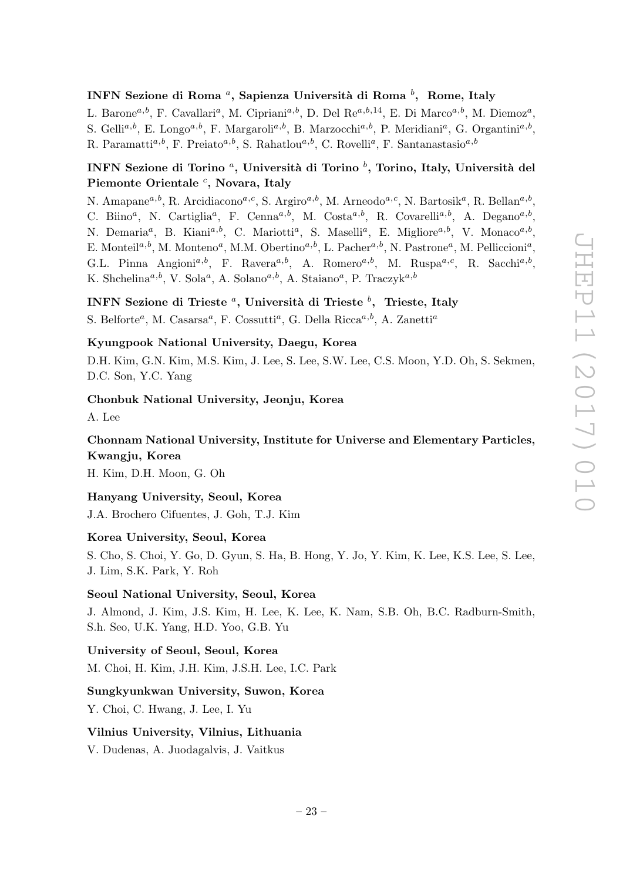# INFN Sezione di Roma <sup>a</sup>, Sapienza Università di Roma  $^b$ , Rome, Italy

L. Barone<sup>a,b</sup>, F. Cavallari<sup>a</sup>, M. Cipriani<sup>a,b</sup>, D. Del Re<sup>a,b,14</sup>, E. Di Marco<sup>a,b</sup>, M. Diemoz<sup>a</sup>, S. Gelli<sup>a,b</sup>, E. Longo<sup>a,b</sup>, F. Margaroli<sup>a,b</sup>, B. Marzocchi<sup>a,b</sup>, P. Meridiani<sup>a</sup>, G. Organtini<sup>a,b</sup>, R. Paramatti<sup>a,b</sup>, F. Preiato<sup>a,b</sup>, S. Rahatlou<sup>a,b</sup>, C. Rovelli<sup>a</sup>, F. Santanastasio<sup>a,b</sup>

# INFN Sezione di Torino <sup>a</sup>, Università di Torino  $^b,$  Torino, Italy, Università del Piemonte Orientale  $^c$ , Novara, Italy

N. Amapane<sup>a,b</sup>, R. Arcidiacono<sup>a,c</sup>, S. Argiro<sup>a,b</sup>, M. Arneodo<sup>a,c</sup>, N. Bartosik<sup>a</sup>, R. Bellan<sup>a,b</sup>, C. Biino<sup>a</sup>, N. Cartiglia<sup>a</sup>, F. Cenna<sup>a,b</sup>, M. Costa<sup>a,b</sup>, R. Covarelli<sup>a,b</sup>, A. Degano<sup>a,b</sup>, N. Demaria<sup>a</sup>, B. Kiani<sup>a,b</sup>, C. Mariotti<sup>a</sup>, S. Maselli<sup>a</sup>, E. Migliore<sup>a,b</sup>, V. Monaco<sup>a,b</sup>, E. Monteil<sup>a,b</sup>, M. Monteno<sup>a</sup>, M.M. Obertino<sup>a,b</sup>, L. Pacher<sup>a,b</sup>, N. Pastrone<sup>a</sup>, M. Pelliccioni<sup>a</sup>, G.L. Pinna Angioni<sup>a,b</sup>, F. Ravera<sup>a,b</sup>, A. Romero<sup>a,b</sup>, M. Ruspa<sup>a,c</sup>, R. Sacchi<sup>a,b</sup>, K. Shchelina $a,b$ , V. Sola $^a$ , A. Solano $^{a,b}$ , A. Staiano $^a$ , P. Traczyk $^{a,b}$ 

# INFN Sezione di Trieste <sup>a</sup>, Università di Trieste  $^b$ , Trieste, Italy

S. Belforte<sup>a</sup>, M. Casarsa<sup>a</sup>, F. Cossutti<sup>a</sup>, G. Della Ricca<sup>a,b</sup>, A. Zanetti<sup>a</sup>

### Kyungpook National University, Daegu, Korea

D.H. Kim, G.N. Kim, M.S. Kim, J. Lee, S. Lee, S.W. Lee, C.S. Moon, Y.D. Oh, S. Sekmen, D.C. Son, Y.C. Yang

### Chonbuk National University, Jeonju, Korea

A. Lee

# Chonnam National University, Institute for Universe and Elementary Particles, Kwangju, Korea

H. Kim, D.H. Moon, G. Oh

### Hanyang University, Seoul, Korea

J.A. Brochero Cifuentes, J. Goh, T.J. Kim

### Korea University, Seoul, Korea

S. Cho, S. Choi, Y. Go, D. Gyun, S. Ha, B. Hong, Y. Jo, Y. Kim, K. Lee, K.S. Lee, S. Lee, J. Lim, S.K. Park, Y. Roh

#### Seoul National University, Seoul, Korea

J. Almond, J. Kim, J.S. Kim, H. Lee, K. Lee, K. Nam, S.B. Oh, B.C. Radburn-Smith, S.h. Seo, U.K. Yang, H.D. Yoo, G.B. Yu

#### University of Seoul, Seoul, Korea

M. Choi, H. Kim, J.H. Kim, J.S.H. Lee, I.C. Park

### Sungkyunkwan University, Suwon, Korea

Y. Choi, C. Hwang, J. Lee, I. Yu

### Vilnius University, Vilnius, Lithuania

V. Dudenas, A. Juodagalvis, J. Vaitkus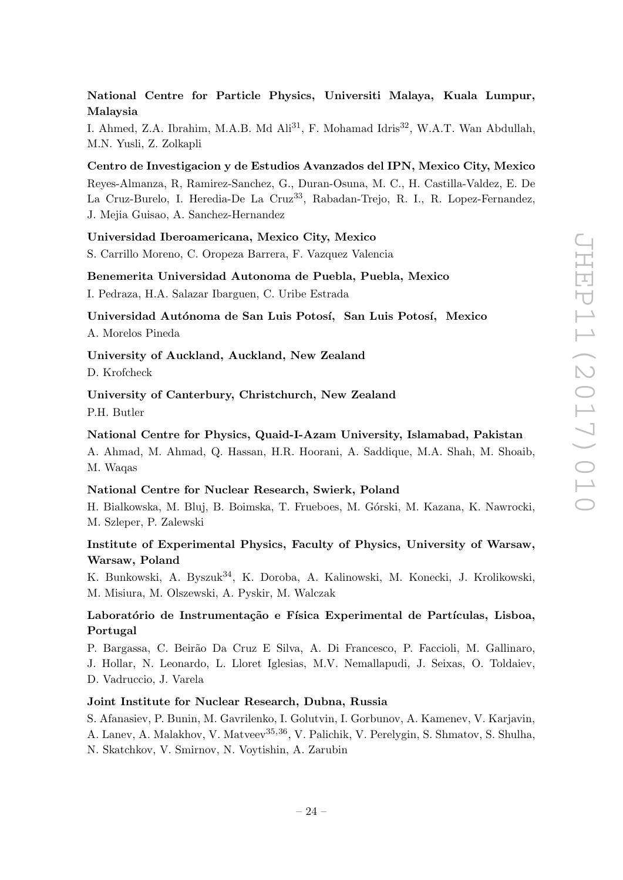# National Centre for Particle Physics, Universiti Malaya, Kuala Lumpur, Malaysia

I. Ahmed, Z.A. Ibrahim, M.A.B. Md Ali<sup>31</sup>, F. Mohamad Idris<sup>32</sup>, W.A.T. Wan Abdullah, M.N. Yusli, Z. Zolkapli

Centro de Investigacion y de Estudios Avanzados del IPN, Mexico City, Mexico Reyes-Almanza, R, Ramirez-Sanchez, G., Duran-Osuna, M. C., H. Castilla-Valdez, E. De La Cruz-Burelo, I. Heredia-De La Cruz<sup>33</sup>, Rabadan-Trejo, R. I., R. Lopez-Fernandez, J. Mejia Guisao, A. Sanchez-Hernandez

### Universidad Iberoamericana, Mexico City, Mexico

S. Carrillo Moreno, C. Oropeza Barrera, F. Vazquez Valencia

### Benemerita Universidad Autonoma de Puebla, Puebla, Mexico

I. Pedraza, H.A. Salazar Ibarguen, C. Uribe Estrada

Universidad Autónoma de San Luis Potosí, San Luis Potosí, Mexico A. Morelos Pineda

University of Auckland, Auckland, New Zealand D. Krofcheck

University of Canterbury, Christchurch, New Zealand P.H. Butler

#### National Centre for Physics, Quaid-I-Azam University, Islamabad, Pakistan

A. Ahmad, M. Ahmad, Q. Hassan, H.R. Hoorani, A. Saddique, M.A. Shah, M. Shoaib, M. Waqas

### National Centre for Nuclear Research, Swierk, Poland

H. Bialkowska, M. Bluj, B. Boimska, T. Frueboes, M. G´orski, M. Kazana, K. Nawrocki, M. Szleper, P. Zalewski

# Institute of Experimental Physics, Faculty of Physics, University of Warsaw, Warsaw, Poland

K. Bunkowski, A. Byszuk34, K. Doroba, A. Kalinowski, M. Konecki, J. Krolikowski, M. Misiura, M. Olszewski, A. Pyskir, M. Walczak

# Laboratório de Instrumentação e Física Experimental de Partículas, Lisboa, Portugal

P. Bargassa, C. Beirão Da Cruz E Silva, A. Di Francesco, P. Faccioli, M. Gallinaro, J. Hollar, N. Leonardo, L. Lloret Iglesias, M.V. Nemallapudi, J. Seixas, O. Toldaiev, D. Vadruccio, J. Varela

# Joint Institute for Nuclear Research, Dubna, Russia

S. Afanasiev, P. Bunin, M. Gavrilenko, I. Golutvin, I. Gorbunov, A. Kamenev, V. Karjavin, A. Lanev, A. Malakhov, V. Matveev<sup>35,36</sup>, V. Palichik, V. Perelygin, S. Shmatov, S. Shulha, N. Skatchkov, V. Smirnov, N. Voytishin, A. Zarubin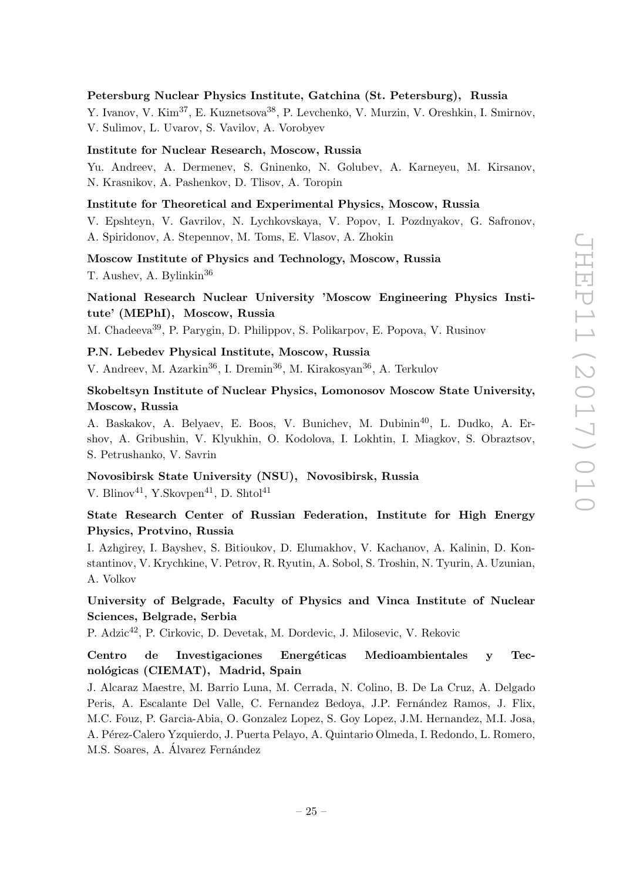### Petersburg Nuclear Physics Institute, Gatchina (St. Petersburg), Russia

Y. Ivanov, V. Kim<sup>37</sup>, E. Kuznetsova<sup>38</sup>, P. Levchenko, V. Murzin, V. Oreshkin, I. Smirnov, V. Sulimov, L. Uvarov, S. Vavilov, A. Vorobyev

### Institute for Nuclear Research, Moscow, Russia

Yu. Andreev, A. Dermenev, S. Gninenko, N. Golubev, A. Karneyeu, M. Kirsanov, N. Krasnikov, A. Pashenkov, D. Tlisov, A. Toropin

### Institute for Theoretical and Experimental Physics, Moscow, Russia

V. Epshteyn, V. Gavrilov, N. Lychkovskaya, V. Popov, I. Pozdnyakov, G. Safronov, A. Spiridonov, A. Stepennov, M. Toms, E. Vlasov, A. Zhokin

Moscow Institute of Physics and Technology, Moscow, Russia

T. Aushev, A. Bylinkin<sup>36</sup>

# National Research Nuclear University 'Moscow Engineering Physics Institute' (MEPhI), Moscow, Russia

M. Chadeeva39, P. Parygin, D. Philippov, S. Polikarpov, E. Popova, V. Rusinov

# P.N. Lebedev Physical Institute, Moscow, Russia

V. Andreev, M. Azarkin<sup>36</sup>, I. Dremin<sup>36</sup>, M. Kirakosyan<sup>36</sup>, A. Terkulov

Skobeltsyn Institute of Nuclear Physics, Lomonosov Moscow State University, Moscow, Russia

A. Baskakov, A. Belyaev, E. Boos, V. Bunichev, M. Dubinin<sup>40</sup>, L. Dudko, A. Ershov, A. Gribushin, V. Klyukhin, O. Kodolova, I. Lokhtin, I. Miagkov, S. Obraztsov, S. Petrushanko, V. Savrin

Novosibirsk State University (NSU), Novosibirsk, Russia V. Blinov<sup>41</sup>, Y.Skovpen<sup>41</sup>, D. Shtol<sup>41</sup>

# State Research Center of Russian Federation, Institute for High Energy Physics, Protvino, Russia

I. Azhgirey, I. Bayshev, S. Bitioukov, D. Elumakhov, V. Kachanov, A. Kalinin, D. Konstantinov, V. Krychkine, V. Petrov, R. Ryutin, A. Sobol, S. Troshin, N. Tyurin, A. Uzunian, A. Volkov

# University of Belgrade, Faculty of Physics and Vinca Institute of Nuclear Sciences, Belgrade, Serbia

P. Adzic<sup>42</sup>, P. Cirkovic, D. Devetak, M. Dordevic, J. Milosevic, V. Rekovic

# Centro de Investigaciones Energéticas Medioambientales y Tecnológicas (CIEMAT), Madrid, Spain

J. Alcaraz Maestre, M. Barrio Luna, M. Cerrada, N. Colino, B. De La Cruz, A. Delgado Peris, A. Escalante Del Valle, C. Fernandez Bedoya, J.P. Fernández Ramos, J. Flix, M.C. Fouz, P. Garcia-Abia, O. Gonzalez Lopez, S. Goy Lopez, J.M. Hernandez, M.I. Josa, A. Pérez-Calero Yzquierdo, J. Puerta Pelayo, A. Quintario Olmeda, I. Redondo, L. Romero, M.S. Soares, A. Álvarez Fernández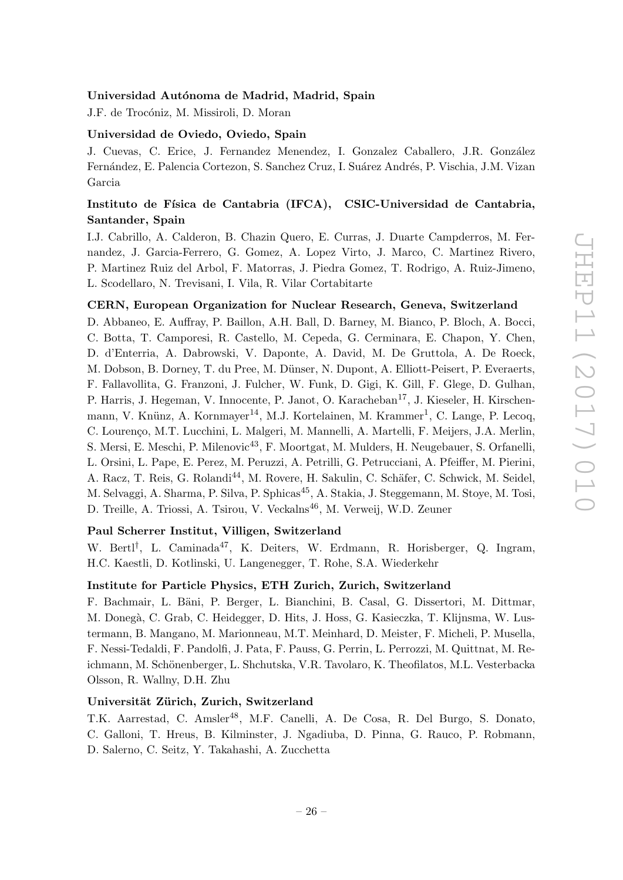### Universidad Autónoma de Madrid, Madrid, Spain

J.F. de Trocóniz, M. Missiroli, D. Moran

### Universidad de Oviedo, Oviedo, Spain

J. Cuevas, C. Erice, J. Fernandez Menendez, I. Gonzalez Caballero, J.R. González Fernández, E. Palencia Cortezon, S. Sanchez Cruz, I. Suárez Andrés, P. Vischia, J.M. Vizan Garcia

# Instituto de Física de Cantabria (IFCA), CSIC-Universidad de Cantabria, Santander, Spain

I.J. Cabrillo, A. Calderon, B. Chazin Quero, E. Curras, J. Duarte Campderros, M. Fernandez, J. Garcia-Ferrero, G. Gomez, A. Lopez Virto, J. Marco, C. Martinez Rivero, P. Martinez Ruiz del Arbol, F. Matorras, J. Piedra Gomez, T. Rodrigo, A. Ruiz-Jimeno, L. Scodellaro, N. Trevisani, I. Vila, R. Vilar Cortabitarte

#### CERN, European Organization for Nuclear Research, Geneva, Switzerland

D. Abbaneo, E. Auffray, P. Baillon, A.H. Ball, D. Barney, M. Bianco, P. Bloch, A. Bocci, C. Botta, T. Camporesi, R. Castello, M. Cepeda, G. Cerminara, E. Chapon, Y. Chen, D. d'Enterria, A. Dabrowski, V. Daponte, A. David, M. De Gruttola, A. De Roeck, M. Dobson, B. Dorney, T. du Pree, M. Dünser, N. Dupont, A. Elliott-Peisert, P. Everaerts, F. Fallavollita, G. Franzoni, J. Fulcher, W. Funk, D. Gigi, K. Gill, F. Glege, D. Gulhan, P. Harris, J. Hegeman, V. Innocente, P. Janot, O. Karacheban<sup>17</sup>, J. Kieseler, H. Kirschenmann, V. Knünz, A. Kornmayer<sup>14</sup>, M.J. Kortelainen, M. Krammer<sup>1</sup>, C. Lange, P. Lecoq, C. Lourenço, M.T. Lucchini, L. Malgeri, M. Mannelli, A. Martelli, F. Meijers, J.A. Merlin, S. Mersi, E. Meschi, P. Milenovic<sup>43</sup>, F. Moortgat, M. Mulders, H. Neugebauer, S. Orfanelli, L. Orsini, L. Pape, E. Perez, M. Peruzzi, A. Petrilli, G. Petrucciani, A. Pfeiffer, M. Pierini, A. Racz, T. Reis, G. Rolandi<sup>44</sup>, M. Rovere, H. Sakulin, C. Schäfer, C. Schwick, M. Seidel, M. Selvaggi, A. Sharma, P. Silva, P. Sphicas45, A. Stakia, J. Steggemann, M. Stoye, M. Tosi, D. Treille, A. Triossi, A. Tsirou, V. Veckalns<sup>46</sup>, M. Verweij, W.D. Zeuner

# Paul Scherrer Institut, Villigen, Switzerland

W. Bertl<sup>†</sup>, L. Caminada<sup>47</sup>, K. Deiters, W. Erdmann, R. Horisberger, Q. Ingram, H.C. Kaestli, D. Kotlinski, U. Langenegger, T. Rohe, S.A. Wiederkehr

#### Institute for Particle Physics, ETH Zurich, Zurich, Switzerland

F. Bachmair, L. Bäni, P. Berger, L. Bianchini, B. Casal, G. Dissertori, M. Dittmar, M. Doneg`a, C. Grab, C. Heidegger, D. Hits, J. Hoss, G. Kasieczka, T. Klijnsma, W. Lustermann, B. Mangano, M. Marionneau, M.T. Meinhard, D. Meister, F. Micheli, P. Musella, F. Nessi-Tedaldi, F. Pandolfi, J. Pata, F. Pauss, G. Perrin, L. Perrozzi, M. Quittnat, M. Reichmann, M. Schönenberger, L. Shchutska, V.R. Tavolaro, K. Theofilatos, M.L. Vesterbacka Olsson, R. Wallny, D.H. Zhu

# Universität Zürich, Zurich, Switzerland

T.K. Aarrestad, C. Amsler48, M.F. Canelli, A. De Cosa, R. Del Burgo, S. Donato, C. Galloni, T. Hreus, B. Kilminster, J. Ngadiuba, D. Pinna, G. Rauco, P. Robmann, D. Salerno, C. Seitz, Y. Takahashi, A. Zucchetta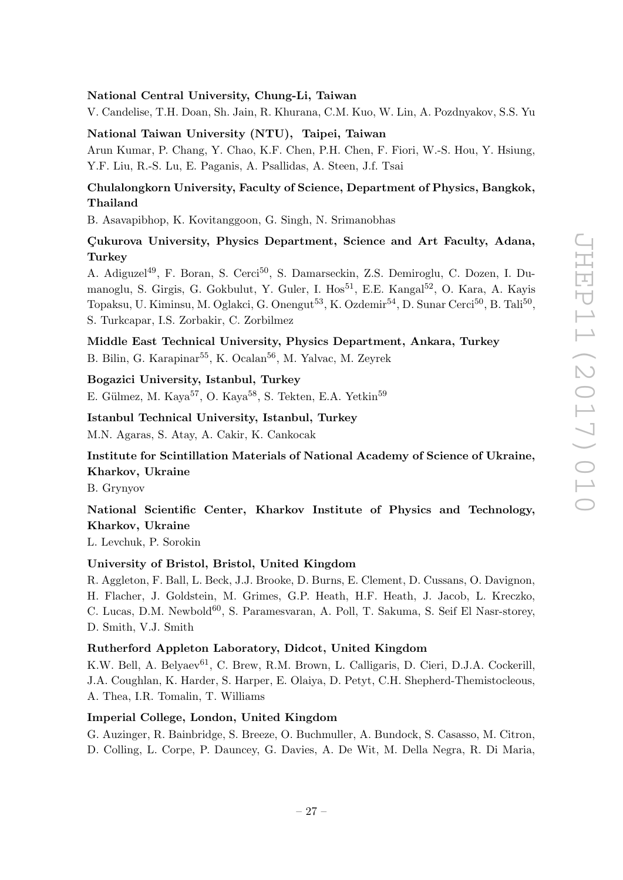### National Central University, Chung-Li, Taiwan

V. Candelise, T.H. Doan, Sh. Jain, R. Khurana, C.M. Kuo, W. Lin, A. Pozdnyakov, S.S. Yu

### National Taiwan University (NTU), Taipei, Taiwan

Arun Kumar, P. Chang, Y. Chao, K.F. Chen, P.H. Chen, F. Fiori, W.-S. Hou, Y. Hsiung, Y.F. Liu, R.-S. Lu, E. Paganis, A. Psallidas, A. Steen, J.f. Tsai

# Chulalongkorn University, Faculty of Science, Department of Physics, Bangkok, Thailand

B. Asavapibhop, K. Kovitanggoon, G. Singh, N. Srimanobhas

# Cukurova University, Physics Department, Science and Art Faculty, Adana, **Turkey**

A. Adiguzel<sup>49</sup>, F. Boran, S. Cerci<sup>50</sup>, S. Damarseckin, Z.S. Demiroglu, C. Dozen, I. Dumanoglu, S. Girgis, G. Gokbulut, Y. Guler, I. Hos<sup>51</sup>, E.E. Kangal<sup>52</sup>, O. Kara, A. Kayis Topaksu, U. Kiminsu, M. Oglakci, G. Onengut<sup>53</sup>, K. Ozdemir<sup>54</sup>, D. Sunar Cerci<sup>50</sup>, B. Tali<sup>50</sup>, S. Turkcapar, I.S. Zorbakir, C. Zorbilmez

# Middle East Technical University, Physics Department, Ankara, Turkey B. Bilin, G. Karapinar<sup>55</sup>, K. Ocalan<sup>56</sup>, M. Yalvac, M. Zeyrek

Bogazici University, Istanbul, Turkey E. Gülmez, M. Kaya<sup>57</sup>, O. Kaya<sup>58</sup>, S. Tekten, E.A. Yetkin<sup>59</sup>

Istanbul Technical University, Istanbul, Turkey

M.N. Agaras, S. Atay, A. Cakir, K. Cankocak

# Institute for Scintillation Materials of National Academy of Science of Ukraine, Kharkov, Ukraine

B. Grynyov

# National Scientific Center, Kharkov Institute of Physics and Technology, Kharkov, Ukraine

L. Levchuk, P. Sorokin

### University of Bristol, Bristol, United Kingdom

R. Aggleton, F. Ball, L. Beck, J.J. Brooke, D. Burns, E. Clement, D. Cussans, O. Davignon, H. Flacher, J. Goldstein, M. Grimes, G.P. Heath, H.F. Heath, J. Jacob, L. Kreczko, C. Lucas, D.M. Newbold<sup>60</sup>, S. Paramesvaran, A. Poll, T. Sakuma, S. Seif El Nasr-storey, D. Smith, V.J. Smith

# Rutherford Appleton Laboratory, Didcot, United Kingdom

K.W. Bell, A. Belyaev<sup>61</sup>, C. Brew, R.M. Brown, L. Calligaris, D. Cieri, D.J.A. Cockerill, J.A. Coughlan, K. Harder, S. Harper, E. Olaiya, D. Petyt, C.H. Shepherd-Themistocleous, A. Thea, I.R. Tomalin, T. Williams

#### Imperial College, London, United Kingdom

G. Auzinger, R. Bainbridge, S. Breeze, O. Buchmuller, A. Bundock, S. Casasso, M. Citron, D. Colling, L. Corpe, P. Dauncey, G. Davies, A. De Wit, M. Della Negra, R. Di Maria,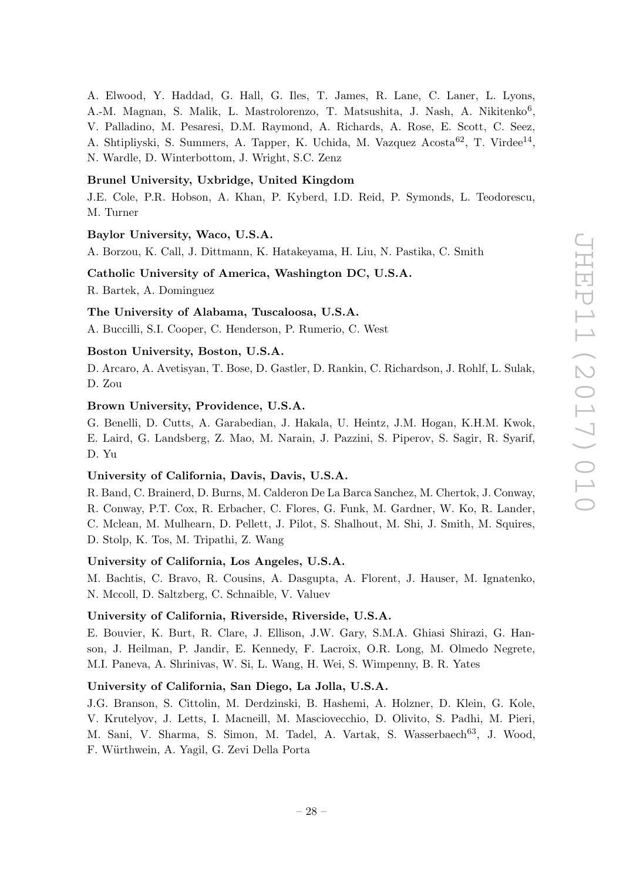A. Elwood, Y. Haddad, G. Hall, G. Iles, T. James, R. Lane, C. Laner, L. Lyons, A.-M. Magnan, S. Malik, L. Mastrolorenzo, T. Matsushita, J. Nash, A. Nikitenko<sup>6</sup>, V. Palladino, M. Pesaresi, D.M. Raymond, A. Richards, A. Rose, E. Scott, C. Seez, A. Shtipliyski, S. Summers, A. Tapper, K. Uchida, M. Vazquez Acosta<sup>62</sup>, T. Virdee<sup>14</sup>, N. Wardle, D. Winterbottom, J. Wright, S.C. Zenz

### Brunel University, Uxbridge, United Kingdom

J.E. Cole, P.R. Hobson, A. Khan, P. Kyberd, I.D. Reid, P. Symonds, L. Teodorescu, M. Turner

### Baylor University, Waco, U.S.A.

A. Borzou, K. Call, J. Dittmann, K. Hatakeyama, H. Liu, N. Pastika, C. Smith

### Catholic University of America, Washington DC, U.S.A.

R. Bartek, A. Dominguez

#### The University of Alabama, Tuscaloosa, U.S.A.

A. Buccilli, S.I. Cooper, C. Henderson, P. Rumerio, C. West

### Boston University, Boston, U.S.A.

D. Arcaro, A. Avetisyan, T. Bose, D. Gastler, D. Rankin, C. Richardson, J. Rohlf, L. Sulak, D. Zou

## Brown University, Providence, U.S.A.

G. Benelli, D. Cutts, A. Garabedian, J. Hakala, U. Heintz, J.M. Hogan, K.H.M. Kwok, E. Laird, G. Landsberg, Z. Mao, M. Narain, J. Pazzini, S. Piperov, S. Sagir, R. Syarif, D. Yu

### University of California, Davis, Davis, U.S.A.

R. Band, C. Brainerd, D. Burns, M. Calderon De La Barca Sanchez, M. Chertok, J. Conway, R. Conway, P.T. Cox, R. Erbacher, C. Flores, G. Funk, M. Gardner, W. Ko, R. Lander, C. Mclean, M. Mulhearn, D. Pellett, J. Pilot, S. Shalhout, M. Shi, J. Smith, M. Squires, D. Stolp, K. Tos, M. Tripathi, Z. Wang

### University of California, Los Angeles, U.S.A.

M. Bachtis, C. Bravo, R. Cousins, A. Dasgupta, A. Florent, J. Hauser, M. Ignatenko, N. Mccoll, D. Saltzberg, C. Schnaible, V. Valuev

# University of California, Riverside, Riverside, U.S.A.

E. Bouvier, K. Burt, R. Clare, J. Ellison, J.W. Gary, S.M.A. Ghiasi Shirazi, G. Hanson, J. Heilman, P. Jandir, E. Kennedy, F. Lacroix, O.R. Long, M. Olmedo Negrete, M.I. Paneva, A. Shrinivas, W. Si, L. Wang, H. Wei, S. Wimpenny, B. R. Yates

### University of California, San Diego, La Jolla, U.S.A.

J.G. Branson, S. Cittolin, M. Derdzinski, B. Hashemi, A. Holzner, D. Klein, G. Kole, V. Krutelyov, J. Letts, I. Macneill, M. Masciovecchio, D. Olivito, S. Padhi, M. Pieri, M. Sani, V. Sharma, S. Simon, M. Tadel, A. Vartak, S. Wasserbaech<sup>63</sup>, J. Wood, F. Würthwein, A. Yagil, G. Zevi Della Porta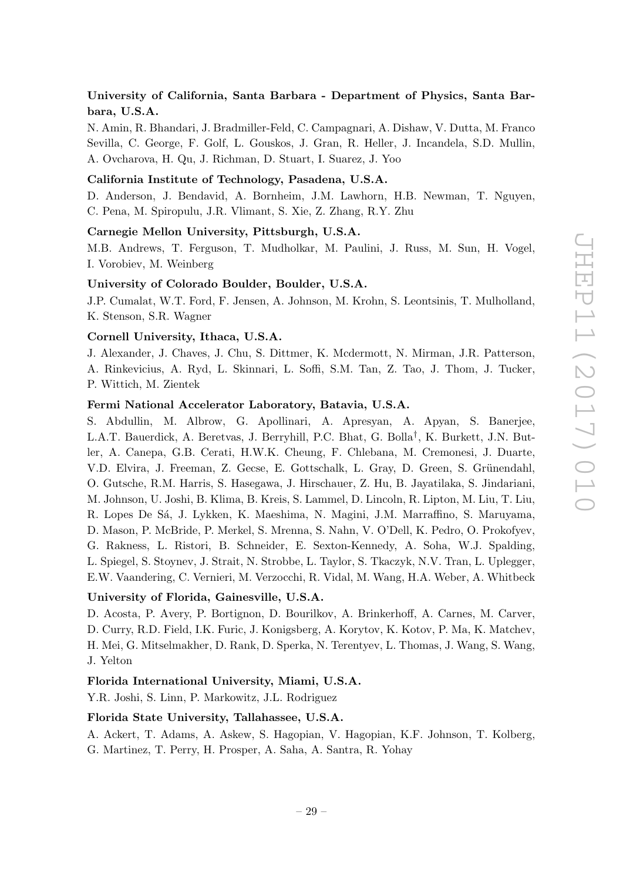# University of California, Santa Barbara - Department of Physics, Santa Barbara, U.S.A.

N. Amin, R. Bhandari, J. Bradmiller-Feld, C. Campagnari, A. Dishaw, V. Dutta, M. Franco Sevilla, C. George, F. Golf, L. Gouskos, J. Gran, R. Heller, J. Incandela, S.D. Mullin, A. Ovcharova, H. Qu, J. Richman, D. Stuart, I. Suarez, J. Yoo

### California Institute of Technology, Pasadena, U.S.A.

D. Anderson, J. Bendavid, A. Bornheim, J.M. Lawhorn, H.B. Newman, T. Nguyen, C. Pena, M. Spiropulu, J.R. Vlimant, S. Xie, Z. Zhang, R.Y. Zhu

### Carnegie Mellon University, Pittsburgh, U.S.A.

M.B. Andrews, T. Ferguson, T. Mudholkar, M. Paulini, J. Russ, M. Sun, H. Vogel, I. Vorobiev, M. Weinberg

### University of Colorado Boulder, Boulder, U.S.A.

J.P. Cumalat, W.T. Ford, F. Jensen, A. Johnson, M. Krohn, S. Leontsinis, T. Mulholland, K. Stenson, S.R. Wagner

# Cornell University, Ithaca, U.S.A.

J. Alexander, J. Chaves, J. Chu, S. Dittmer, K. Mcdermott, N. Mirman, J.R. Patterson, A. Rinkevicius, A. Ryd, L. Skinnari, L. Soffi, S.M. Tan, Z. Tao, J. Thom, J. Tucker, P. Wittich, M. Zientek

### Fermi National Accelerator Laboratory, Batavia, U.S.A.

S. Abdullin, M. Albrow, G. Apollinari, A. Apresyan, A. Apyan, S. Banerjee, L.A.T. Bauerdick, A. Beretvas, J. Berryhill, P.C. Bhat, G. Bolla† , K. Burkett, J.N. Butler, A. Canepa, G.B. Cerati, H.W.K. Cheung, F. Chlebana, M. Cremonesi, J. Duarte, V.D. Elvira, J. Freeman, Z. Gecse, E. Gottschalk, L. Gray, D. Green, S. Grünendahl, O. Gutsche, R.M. Harris, S. Hasegawa, J. Hirschauer, Z. Hu, B. Jayatilaka, S. Jindariani, M. Johnson, U. Joshi, B. Klima, B. Kreis, S. Lammel, D. Lincoln, R. Lipton, M. Liu, T. Liu, R. Lopes De Sá, J. Lykken, K. Maeshima, N. Magini, J.M. Marraffino, S. Maruyama, D. Mason, P. McBride, P. Merkel, S. Mrenna, S. Nahn, V. O'Dell, K. Pedro, O. Prokofyev, G. Rakness, L. Ristori, B. Schneider, E. Sexton-Kennedy, A. Soha, W.J. Spalding, L. Spiegel, S. Stoynev, J. Strait, N. Strobbe, L. Taylor, S. Tkaczyk, N.V. Tran, L. Uplegger, E.W. Vaandering, C. Vernieri, M. Verzocchi, R. Vidal, M. Wang, H.A. Weber, A. Whitbeck

#### University of Florida, Gainesville, U.S.A.

D. Acosta, P. Avery, P. Bortignon, D. Bourilkov, A. Brinkerhoff, A. Carnes, M. Carver, D. Curry, R.D. Field, I.K. Furic, J. Konigsberg, A. Korytov, K. Kotov, P. Ma, K. Matchev, H. Mei, G. Mitselmakher, D. Rank, D. Sperka, N. Terentyev, L. Thomas, J. Wang, S. Wang, J. Yelton

### Florida International University, Miami, U.S.A.

Y.R. Joshi, S. Linn, P. Markowitz, J.L. Rodriguez

#### Florida State University, Tallahassee, U.S.A.

A. Ackert, T. Adams, A. Askew, S. Hagopian, V. Hagopian, K.F. Johnson, T. Kolberg, G. Martinez, T. Perry, H. Prosper, A. Saha, A. Santra, R. Yohay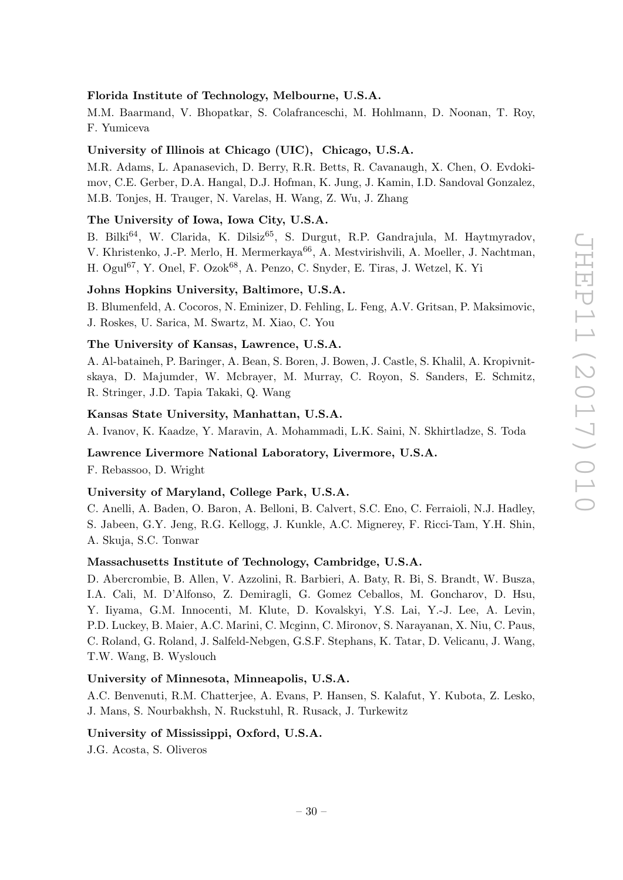### Florida Institute of Technology, Melbourne, U.S.A.

M.M. Baarmand, V. Bhopatkar, S. Colafranceschi, M. Hohlmann, D. Noonan, T. Roy, F. Yumiceva

# University of Illinois at Chicago (UIC), Chicago, U.S.A.

M.R. Adams, L. Apanasevich, D. Berry, R.R. Betts, R. Cavanaugh, X. Chen, O. Evdokimov, C.E. Gerber, D.A. Hangal, D.J. Hofman, K. Jung, J. Kamin, I.D. Sandoval Gonzalez, M.B. Tonjes, H. Trauger, N. Varelas, H. Wang, Z. Wu, J. Zhang

### The University of Iowa, Iowa City, U.S.A.

B. Bilki<sup>64</sup>, W. Clarida, K. Dilsiz<sup>65</sup>, S. Durgut, R.P. Gandrajula, M. Haytmyradov, V. Khristenko, J.-P. Merlo, H. Mermerkaya<sup>66</sup>, A. Mestvirishvili, A. Moeller, J. Nachtman, H. Ogul<sup>67</sup>, Y. Onel, F. Ozok<sup>68</sup>, A. Penzo, C. Snyder, E. Tiras, J. Wetzel, K. Yi

### Johns Hopkins University, Baltimore, U.S.A.

B. Blumenfeld, A. Cocoros, N. Eminizer, D. Fehling, L. Feng, A.V. Gritsan, P. Maksimovic, J. Roskes, U. Sarica, M. Swartz, M. Xiao, C. You

### The University of Kansas, Lawrence, U.S.A.

A. Al-bataineh, P. Baringer, A. Bean, S. Boren, J. Bowen, J. Castle, S. Khalil, A. Kropivnitskaya, D. Majumder, W. Mcbrayer, M. Murray, C. Royon, S. Sanders, E. Schmitz, R. Stringer, J.D. Tapia Takaki, Q. Wang

#### Kansas State University, Manhattan, U.S.A.

A. Ivanov, K. Kaadze, Y. Maravin, A. Mohammadi, L.K. Saini, N. Skhirtladze, S. Toda

### Lawrence Livermore National Laboratory, Livermore, U.S.A.

F. Rebassoo, D. Wright

#### University of Maryland, College Park, U.S.A.

C. Anelli, A. Baden, O. Baron, A. Belloni, B. Calvert, S.C. Eno, C. Ferraioli, N.J. Hadley, S. Jabeen, G.Y. Jeng, R.G. Kellogg, J. Kunkle, A.C. Mignerey, F. Ricci-Tam, Y.H. Shin, A. Skuja, S.C. Tonwar

### Massachusetts Institute of Technology, Cambridge, U.S.A.

D. Abercrombie, B. Allen, V. Azzolini, R. Barbieri, A. Baty, R. Bi, S. Brandt, W. Busza, I.A. Cali, M. D'Alfonso, Z. Demiragli, G. Gomez Ceballos, M. Goncharov, D. Hsu, Y. Iiyama, G.M. Innocenti, M. Klute, D. Kovalskyi, Y.S. Lai, Y.-J. Lee, A. Levin, P.D. Luckey, B. Maier, A.C. Marini, C. Mcginn, C. Mironov, S. Narayanan, X. Niu, C. Paus, C. Roland, G. Roland, J. Salfeld-Nebgen, G.S.F. Stephans, K. Tatar, D. Velicanu, J. Wang, T.W. Wang, B. Wyslouch

### University of Minnesota, Minneapolis, U.S.A.

A.C. Benvenuti, R.M. Chatterjee, A. Evans, P. Hansen, S. Kalafut, Y. Kubota, Z. Lesko, J. Mans, S. Nourbakhsh, N. Ruckstuhl, R. Rusack, J. Turkewitz

### University of Mississippi, Oxford, U.S.A.

J.G. Acosta, S. Oliveros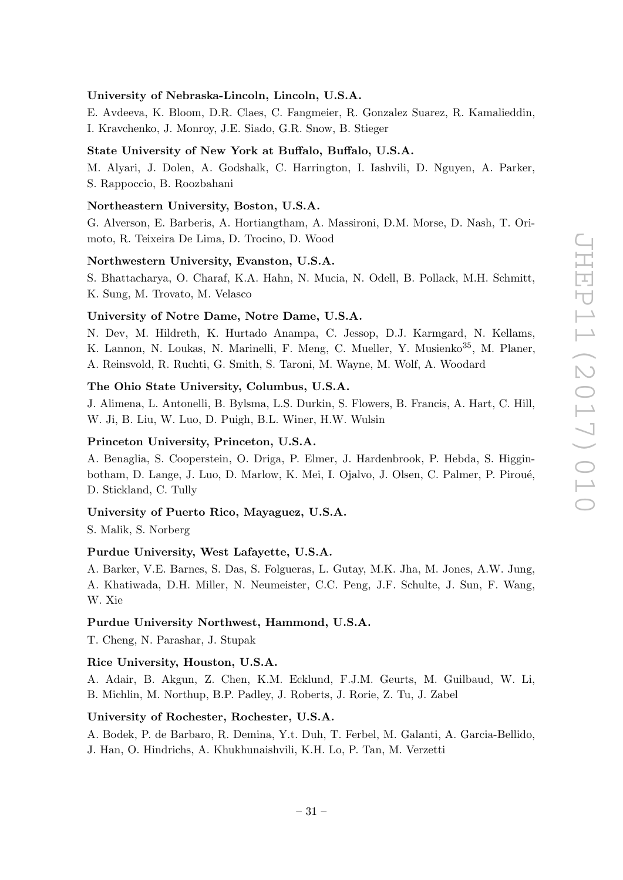# University of Nebraska-Lincoln, Lincoln, U.S.A.

E. Avdeeva, K. Bloom, D.R. Claes, C. Fangmeier, R. Gonzalez Suarez, R. Kamalieddin, I. Kravchenko, J. Monroy, J.E. Siado, G.R. Snow, B. Stieger

### State University of New York at Buffalo, Buffalo, U.S.A.

M. Alyari, J. Dolen, A. Godshalk, C. Harrington, I. Iashvili, D. Nguyen, A. Parker, S. Rappoccio, B. Roozbahani

### Northeastern University, Boston, U.S.A.

G. Alverson, E. Barberis, A. Hortiangtham, A. Massironi, D.M. Morse, D. Nash, T. Orimoto, R. Teixeira De Lima, D. Trocino, D. Wood

### Northwestern University, Evanston, U.S.A.

S. Bhattacharya, O. Charaf, K.A. Hahn, N. Mucia, N. Odell, B. Pollack, M.H. Schmitt, K. Sung, M. Trovato, M. Velasco

### University of Notre Dame, Notre Dame, U.S.A.

N. Dev, M. Hildreth, K. Hurtado Anampa, C. Jessop, D.J. Karmgard, N. Kellams, K. Lannon, N. Loukas, N. Marinelli, F. Meng, C. Mueller, Y. Musienko<sup>35</sup>, M. Planer, A. Reinsvold, R. Ruchti, G. Smith, S. Taroni, M. Wayne, M. Wolf, A. Woodard

#### The Ohio State University, Columbus, U.S.A.

J. Alimena, L. Antonelli, B. Bylsma, L.S. Durkin, S. Flowers, B. Francis, A. Hart, C. Hill, W. Ji, B. Liu, W. Luo, D. Puigh, B.L. Winer, H.W. Wulsin

#### Princeton University, Princeton, U.S.A.

A. Benaglia, S. Cooperstein, O. Driga, P. Elmer, J. Hardenbrook, P. Hebda, S. Higginbotham, D. Lange, J. Luo, D. Marlow, K. Mei, I. Ojalvo, J. Olsen, C. Palmer, P. Piroué, D. Stickland, C. Tully

### University of Puerto Rico, Mayaguez, U.S.A.

S. Malik, S. Norberg

### Purdue University, West Lafayette, U.S.A.

A. Barker, V.E. Barnes, S. Das, S. Folgueras, L. Gutay, M.K. Jha, M. Jones, A.W. Jung, A. Khatiwada, D.H. Miller, N. Neumeister, C.C. Peng, J.F. Schulte, J. Sun, F. Wang, W. Xie

### Purdue University Northwest, Hammond, U.S.A.

T. Cheng, N. Parashar, J. Stupak

### Rice University, Houston, U.S.A.

A. Adair, B. Akgun, Z. Chen, K.M. Ecklund, F.J.M. Geurts, M. Guilbaud, W. Li, B. Michlin, M. Northup, B.P. Padley, J. Roberts, J. Rorie, Z. Tu, J. Zabel

### University of Rochester, Rochester, U.S.A.

A. Bodek, P. de Barbaro, R. Demina, Y.t. Duh, T. Ferbel, M. Galanti, A. Garcia-Bellido, J. Han, O. Hindrichs, A. Khukhunaishvili, K.H. Lo, P. Tan, M. Verzetti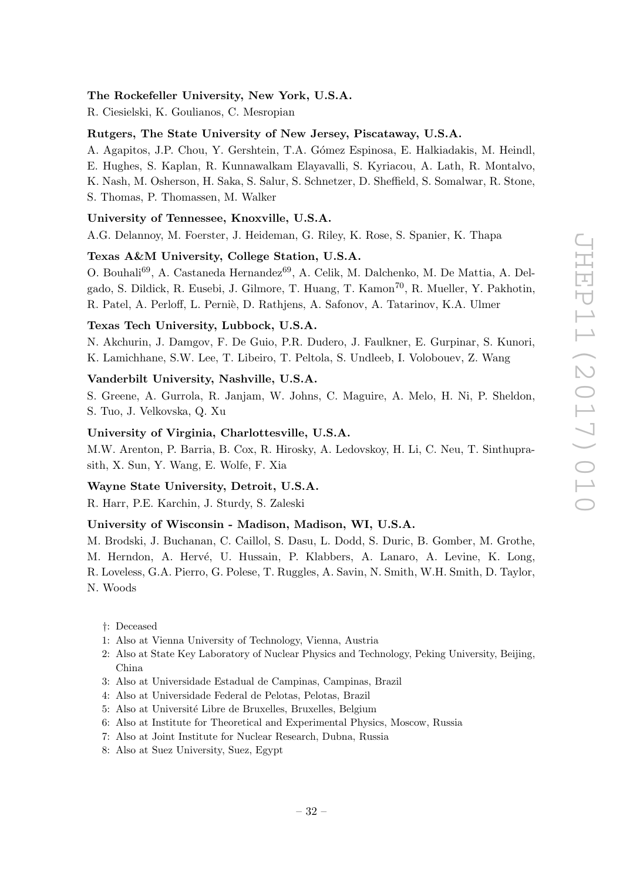### The Rockefeller University, New York, U.S.A.

R. Ciesielski, K. Goulianos, C. Mesropian

### Rutgers, The State University of New Jersey, Piscataway, U.S.A.

A. Agapitos, J.P. Chou, Y. Gershtein, T.A. G´omez Espinosa, E. Halkiadakis, M. Heindl, E. Hughes, S. Kaplan, R. Kunnawalkam Elayavalli, S. Kyriacou, A. Lath, R. Montalvo,

K. Nash, M. Osherson, H. Saka, S. Salur, S. Schnetzer, D. Sheffield, S. Somalwar, R. Stone,

S. Thomas, P. Thomassen, M. Walker

#### University of Tennessee, Knoxville, U.S.A.

A.G. Delannoy, M. Foerster, J. Heideman, G. Riley, K. Rose, S. Spanier, K. Thapa

# Texas A&M University, College Station, U.S.A.

O. Bouhali<sup>69</sup>, A. Castaneda Hernandez<sup>69</sup>, A. Celik, M. Dalchenko, M. De Mattia, A. Delgado, S. Dildick, R. Eusebi, J. Gilmore, T. Huang, T. Kamon<sup>70</sup>, R. Mueller, Y. Pakhotin, R. Patel, A. Perloff, L. Perniè, D. Rathjens, A. Safonov, A. Tatarinov, K.A. Ulmer

### Texas Tech University, Lubbock, U.S.A.

N. Akchurin, J. Damgov, F. De Guio, P.R. Dudero, J. Faulkner, E. Gurpinar, S. Kunori, K. Lamichhane, S.W. Lee, T. Libeiro, T. Peltola, S. Undleeb, I. Volobouev, Z. Wang

#### Vanderbilt University, Nashville, U.S.A.

S. Greene, A. Gurrola, R. Janjam, W. Johns, C. Maguire, A. Melo, H. Ni, P. Sheldon, S. Tuo, J. Velkovska, Q. Xu

### University of Virginia, Charlottesville, U.S.A.

M.W. Arenton, P. Barria, B. Cox, R. Hirosky, A. Ledovskoy, H. Li, C. Neu, T. Sinthuprasith, X. Sun, Y. Wang, E. Wolfe, F. Xia

### Wayne State University, Detroit, U.S.A.

R. Harr, P.E. Karchin, J. Sturdy, S. Zaleski

#### University of Wisconsin - Madison, Madison, WI, U.S.A.

M. Brodski, J. Buchanan, C. Caillol, S. Dasu, L. Dodd, S. Duric, B. Gomber, M. Grothe, M. Herndon, A. Hervé, U. Hussain, P. Klabbers, A. Lanaro, A. Levine, K. Long, R. Loveless, G.A. Pierro, G. Polese, T. Ruggles, A. Savin, N. Smith, W.H. Smith, D. Taylor, N. Woods

- †: Deceased
- 1: Also at Vienna University of Technology, Vienna, Austria
- 2: Also at State Key Laboratory of Nuclear Physics and Technology, Peking University, Beijing, China
- 3: Also at Universidade Estadual de Campinas, Campinas, Brazil
- 4: Also at Universidade Federal de Pelotas, Pelotas, Brazil
- 5: Also at Université Libre de Bruxelles, Bruxelles, Belgium
- 6: Also at Institute for Theoretical and Experimental Physics, Moscow, Russia
- 7: Also at Joint Institute for Nuclear Research, Dubna, Russia
- 8: Also at Suez University, Suez, Egypt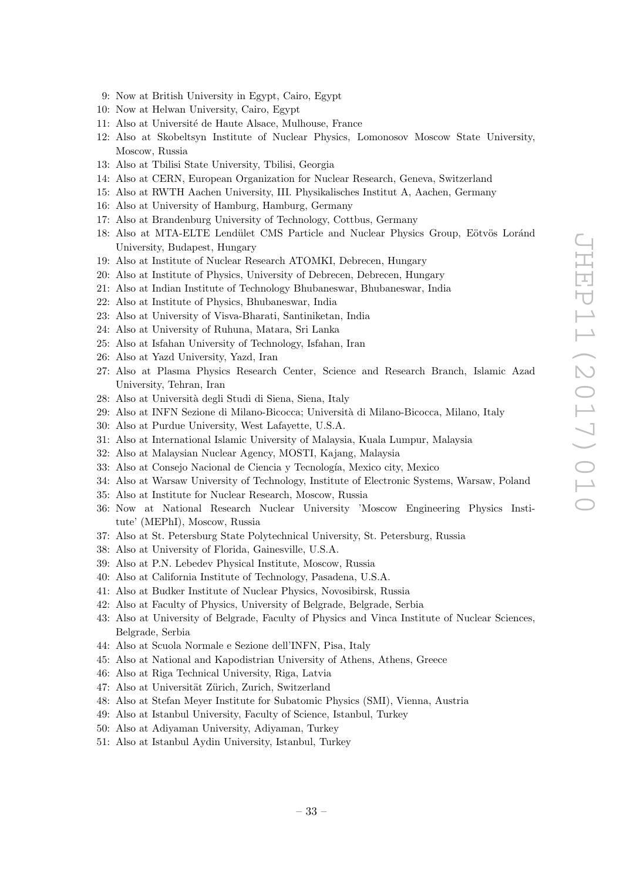- 9: Now at British University in Egypt, Cairo, Egypt
- 10: Now at Helwan University, Cairo, Egypt
- 11: Also at Université de Haute Alsace, Mulhouse, France
- 12: Also at Skobeltsyn Institute of Nuclear Physics, Lomonosov Moscow State University, Moscow, Russia
- 13: Also at Tbilisi State University, Tbilisi, Georgia
- 14: Also at CERN, European Organization for Nuclear Research, Geneva, Switzerland
- 15: Also at RWTH Aachen University, III. Physikalisches Institut A, Aachen, Germany
- 16: Also at University of Hamburg, Hamburg, Germany
- 17: Also at Brandenburg University of Technology, Cottbus, Germany
- 18: Also at MTA-ELTE Lendület CMS Particle and Nuclear Physics Group, Eötvös Loránd University, Budapest, Hungary
- 19: Also at Institute of Nuclear Research ATOMKI, Debrecen, Hungary
- 20: Also at Institute of Physics, University of Debrecen, Debrecen, Hungary
- 21: Also at Indian Institute of Technology Bhubaneswar, Bhubaneswar, India
- 22: Also at Institute of Physics, Bhubaneswar, India
- 23: Also at University of Visva-Bharati, Santiniketan, India
- 24: Also at University of Ruhuna, Matara, Sri Lanka
- 25: Also at Isfahan University of Technology, Isfahan, Iran
- 26: Also at Yazd University, Yazd, Iran
- 27: Also at Plasma Physics Research Center, Science and Research Branch, Islamic Azad University, Tehran, Iran
- 28: Also at Universit`a degli Studi di Siena, Siena, Italy
- 29: Also at INFN Sezione di Milano-Bicocca; Università di Milano-Bicocca, Milano, Italy
- 30: Also at Purdue University, West Lafayette, U.S.A.
- 31: Also at International Islamic University of Malaysia, Kuala Lumpur, Malaysia
- 32: Also at Malaysian Nuclear Agency, MOSTI, Kajang, Malaysia
- 33: Also at Consejo Nacional de Ciencia y Tecnología, Mexico city, Mexico
- 34: Also at Warsaw University of Technology, Institute of Electronic Systems, Warsaw, Poland
- 35: Also at Institute for Nuclear Research, Moscow, Russia
- 36: Now at National Research Nuclear University 'Moscow Engineering Physics Institute' (MEPhI), Moscow, Russia
- 37: Also at St. Petersburg State Polytechnical University, St. Petersburg, Russia
- 38: Also at University of Florida, Gainesville, U.S.A.
- 39: Also at P.N. Lebedev Physical Institute, Moscow, Russia
- 40: Also at California Institute of Technology, Pasadena, U.S.A.
- 41: Also at Budker Institute of Nuclear Physics, Novosibirsk, Russia
- 42: Also at Faculty of Physics, University of Belgrade, Belgrade, Serbia
- 43: Also at University of Belgrade, Faculty of Physics and Vinca Institute of Nuclear Sciences, Belgrade, Serbia
- 44: Also at Scuola Normale e Sezione dell'INFN, Pisa, Italy
- 45: Also at National and Kapodistrian University of Athens, Athens, Greece
- 46: Also at Riga Technical University, Riga, Latvia
- 47: Also at Universität Zürich, Zurich, Switzerland
- 48: Also at Stefan Meyer Institute for Subatomic Physics (SMI), Vienna, Austria
- 49: Also at Istanbul University, Faculty of Science, Istanbul, Turkey
- 50: Also at Adiyaman University, Adiyaman, Turkey
- 51: Also at Istanbul Aydin University, Istanbul, Turkey